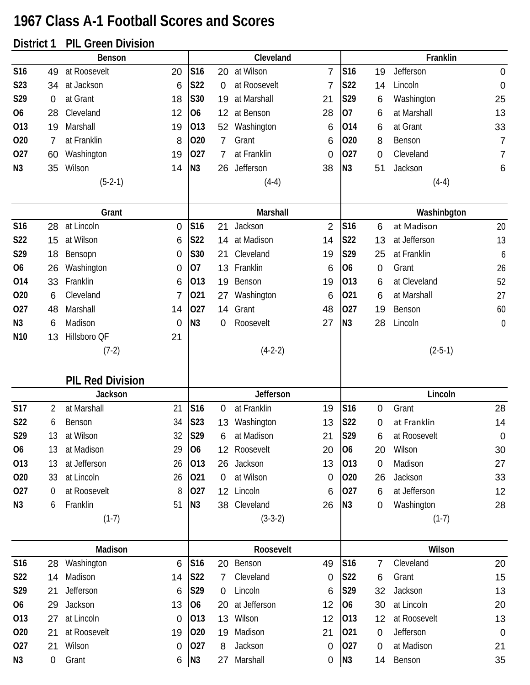## **1967 Class A-1 Football Scores and Scores**

## **District 1 PIL Green Division**

|                  |                | Benson                  |                 |                 |                 | Cleveland    |                 |                |             | Franklin     |                  |
|------------------|----------------|-------------------------|-----------------|-----------------|-----------------|--------------|-----------------|----------------|-------------|--------------|------------------|
| S16              | 49             | at Roosevelt            | 20              | S16             | 20              | at Wilson    | $\overline{7}$  | S16            | 19          | Jefferson    | $\mathbf 0$      |
| S <sub>2</sub> 3 | 34             | at Jackson              | 6               | S22             | $\mathbf 0$     | at Roosevelt | 7               | S22            | 14          | Lincoln      | $\mathbf 0$      |
| S29              | $\mathbf 0$    | at Grant                | 18              | S30             | 19              | at Marshall  | 21              | S29            | 6           | Washington   | 25               |
| <b>O6</b>        | 28             | Cleveland               | 12              | O <sub>6</sub>  | 12              | at Benson    | 28              | 07             | 6           | at Marshall  | 13               |
| 013              | 19             | Marshall                | 19              | 013             | 52              | Washington   | 6               | 014            | 6           | at Grant     | 33               |
| 020              | 7              | at Franklin             | 8               | 020             | 7               | Grant        | 6               | 020            | 8           | Benson       | $\overline{7}$   |
| 027              | 60             | Washington              | 19              | 027             | $\overline{7}$  | at Franklin  | 0               | 027            | 0           | Cleveland    | 7                |
| N <sub>3</sub>   | 35             | Wilson                  | 14              | N <sub>3</sub>  | 26              | Jefferson    | 38              | N <sub>3</sub> | 51          | Jackson      | $6\phantom{1}6$  |
|                  |                | $(5-2-1)$               |                 |                 |                 | $(4-4)$      |                 |                |             | $(4-4)$      |                  |
|                  |                |                         |                 |                 |                 |              |                 |                |             |              |                  |
|                  |                | Grant                   |                 |                 |                 | Marshall     |                 |                |             | Washinbgton  |                  |
| S16              | 28             | at Lincoln              | $\mathbf 0$     | S16             | 21              | Jackson      | $\overline{2}$  | S16            | 6           | at Madison   | 20               |
| S22              | 15             | at Wilson               | 6               | S22             | 14              | at Madison   | 14              | S22            | 13          | at Jefferson | 13               |
| S29              | 18             | Bensopn                 | 0               | S30             | 21              | Cleveland    | 19              | S29            | 25          | at Franklin  | 6                |
| <b>O6</b>        | 26             | Washington              | $\mathbf 0$     | 07              | 13              | Franklin     | 6               | <b>O6</b>      | 0           | Grant        | 26               |
| 014              | 33             | Franklin                | 6               | 013             | 19              | Benson       | 19              | 013            | 6           | at Cleveland | 52               |
| 020              | 6              | Cleveland               | 7               | 021             | 27              | Washington   | 6               | 021            | 6           | at Marshall  | 27               |
| 027              | 48             | Marshall                | 14              | 027             | 14              | Grant        | 48              | 027            | 19          | Benson       | 60               |
| N <sub>3</sub>   | 6              | Madison                 | 0               | N <sub>3</sub>  | 0               | Roosevelt    | 27              | N <sub>3</sub> | 28          | Lincoln      | $\boldsymbol{0}$ |
| N <sub>10</sub>  | 13             | Hillsboro QF            | 21              |                 |                 |              |                 |                |             |              |                  |
|                  |                | $(7-2)$                 |                 |                 |                 | $(4-2-2)$    |                 |                |             | $(2-5-1)$    |                  |
|                  |                | <b>PIL Red Division</b> |                 |                 |                 |              |                 |                |             |              |                  |
|                  |                | <b>Jackson</b>          |                 |                 |                 | Jefferson    |                 |                |             | Lincoln      |                  |
| <b>S17</b>       | 2              | at Marshall             | 21              | S <sub>16</sub> | $\mathbf 0$     | at Franklin  | 19              | <b>S16</b>     | 0           | Grant        | 28               |
| S22              | 6              | Benson                  | 34              | <b>S23</b>      | 13              | Washington   | 13              | S22            | 0           | at Franklin  | 14               |
| S29              | 13             | at Wilson               | 32              | S29             | $6\phantom{1}6$ | at Madison   | 21              | S29            | 6           | at Roosevelt | $\overline{0}$   |
| 06               | 13             | at Madison              | 29              | 06              |                 | 12 Roosevelt | 20              | <b>O6</b>      | 20          | Wilson       | 30               |
| 013              | 13             | at Jefferson            | 26              | 013             |                 | 26 Jackson   | 13              | 013            | $\mathbf 0$ | Madison      | 27               |
| 020              | 33             | at Lincoln              | 26              | 021             | $\mathbf 0$     | at Wilson    | $\mathbf 0$     | 020            | 26          | Jackson      | 33               |
| 027              | $\overline{0}$ | at Roosevelt            | 8               | 027             |                 | 12 Lincoln   | 6               | 027            | 6           | at Jefferson | 12               |
| N <sub>3</sub>   | 6              | Franklin                | 51              | N <sub>3</sub>  |                 | 38 Cleveland | 26              | N3             | 0           | Washington   | 28               |
|                  |                | $(1-7)$                 |                 |                 |                 | $(3-3-2)$    |                 |                |             | $(1-7)$      |                  |
|                  |                |                         |                 |                 |                 |              |                 |                |             |              |                  |
|                  |                | Madison                 |                 |                 |                 | Roosevelt    |                 |                |             | Wilson       |                  |
| S16              | 28             | Washington              | 6               | S16             | 20              | Benson       | 49              | S16            | 7           | Cleveland    | 20               |
| S22              | 14             | Madison                 | 14              | S22             | $\overline{7}$  | Cleveland    | 0               | S22            | 6           | Grant        | 15               |
| S29              | 21             | Jefferson               | $6\phantom{1}6$ | S29             | 0               | Lincoln      | $6\phantom{1}6$ | S29            | 32          | Jackson      | 13               |
| 06               | 29             | Jackson                 | 13              | 06              | 20              | at Jefferson | 12              | <b>O6</b>      | 30          | at Lincoln   | 20               |
| 013              | 27             | at Lincoln              | $\mathbf 0$     | 013             |                 | 13 Wilson    | 12              | 013            | 12          | at Roosevelt | 13               |
| 020              | 21             | at Roosevelt            | 19              | 020             | 19              | Madison      | 21              | 021            | 0           | Jefferson    | $\mathbf 0$      |
| 027              | 21             | Wilson                  | 0               | 027             | 8               | Jackson      | $\mathbf 0$     | 027            | 0           | at Madison   | 21               |
| N3               | 0              | Grant                   | 6               | N3              | 27              | Marshall     | 0               | N <sub>3</sub> | 14          | Benson       | 35               |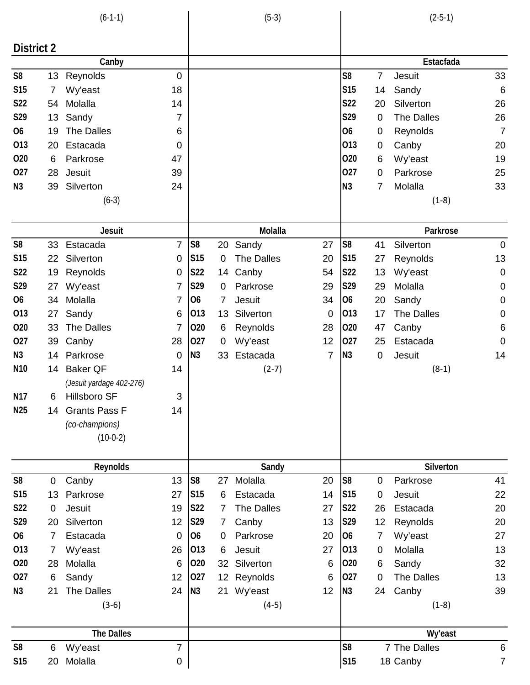| $(6-1-1)$       |           |                          |                | $(5-3)$         |                 |                   |       | $(2-5-1)$       |    |                   |                |  |
|-----------------|-----------|--------------------------|----------------|-----------------|-----------------|-------------------|-------|-----------------|----|-------------------|----------------|--|
|                 |           |                          |                |                 |                 |                   |       |                 |    |                   |                |  |
| District 2      |           |                          |                |                 |                 |                   |       |                 |    |                   |                |  |
|                 |           | Canby                    |                |                 |                 |                   |       |                 |    | Estacfada         |                |  |
| S <sub>8</sub>  | 13        | Reynolds                 | $\mathbf 0$    |                 |                 |                   |       | S <sub>8</sub>  | 7  | Jesuit            | 33             |  |
| <b>S15</b>      | 7         | Wy'east                  | 18             |                 |                 |                   |       | <b>S15</b>      | 14 | Sandy             | $6\,$          |  |
| S <sub>22</sub> | 54        | Molalla                  | 14             |                 |                 |                   |       | S22             | 20 | Silverton         | 26             |  |
| S29             | 13        | Sandy                    | 7              |                 |                 |                   |       | S29             | 0  | <b>The Dalles</b> | 26             |  |
| O <sub>6</sub>  | 19        | <b>The Dalles</b>        | 6              |                 |                 |                   |       | <b>O6</b>       | 0  | Reynolds          | $\overline{7}$ |  |
| 013             | 20        | Estacada                 | $\mathbf 0$    |                 |                 |                   |       | 013             | 0  | Canby             | 20             |  |
| 020             | 6         | Parkrose                 | 47             |                 |                 |                   |       | 020             | 6  | Wy'east           | 19             |  |
| 027             | 28        | Jesuit                   | 39             |                 |                 |                   |       | 027             | 0  | Parkrose          | 25             |  |
| N <sub>3</sub>  | 39        | Silverton                | 24             |                 |                 |                   |       | N <sub>3</sub>  | 7  | Molalla           | 33             |  |
|                 |           | $(6-3)$                  |                |                 |                 |                   |       |                 |    | $(1-8)$           |                |  |
|                 |           | <b>Jesuit</b>            |                |                 |                 | Molalla           |       |                 |    | Parkrose          |                |  |
| S <sub>8</sub>  | 33        | Estacada                 | $\overline{7}$ | S <sub>8</sub>  | 20              | Sandy             | 27    | S <sub>8</sub>  | 41 | Silverton         | $\mathbf 0$    |  |
| <b>S15</b>      | 22        | Silverton                | $\mathbf 0$    | S <sub>15</sub> | 0               | <b>The Dalles</b> | 20    | <b>S15</b>      | 27 | Reynolds          | 13             |  |
| S22             | 19        | Reynolds                 | 0              | <b>S22</b>      | 14              | Canby             | 54    | <b>S22</b>      | 13 | Wy'east           | $\mathbf 0$    |  |
| S29             | 27        | Wy'east                  | 7              | S29             | $\mathbf 0$     | Parkrose          | 29    | S29             | 29 | Molalla           | $\mathbf 0$    |  |
| <b>O6</b>       | 34        | Molalla                  | 7              | <b>O6</b>       | $\overline{7}$  | Jesuit            | 34    | O <sub>6</sub>  | 20 | Sandy             | $\pmb{0}$      |  |
| 013             | 27        | Sandy                    | 6              | 013             | 13              | Silverton         | 0     | 013             | 17 | <b>The Dalles</b> | $\pmb{0}$      |  |
| 020             | 33        | The Dalles               | 7              | 020             | 6               | Reynolds          | 28    | 020             | 47 | Canby             | $\,6$          |  |
| 027             | 39        | Canby                    | 28             | 027             | 0               | Wy'east           | 12    | 027             | 25 | Estacada          | $\mathbf 0$    |  |
| N3              | 14        | Parkrose                 | 0              | N <sub>3</sub>  | 33              | Estacada          | 7     | N <sub>3</sub>  | 0  | Jesuit            | 14             |  |
| N <sub>10</sub> | 14        | <b>Baker QF</b>          | 14             |                 |                 | $(2-7)$           |       |                 |    | $(8-1)$           |                |  |
|                 |           | (Jesuit yardage 402-276) |                |                 |                 |                   |       |                 |    |                   |                |  |
| N <sub>17</sub> | 6         | Hillsboro SF             | 3              |                 |                 |                   |       |                 |    |                   |                |  |
| N <sub>25</sub> | 14        | <b>Grants Pass F</b>     | 14             |                 |                 |                   |       |                 |    |                   |                |  |
|                 |           | (co-champions)           |                |                 |                 |                   |       |                 |    |                   |                |  |
|                 |           | $(10-0-2)$               |                |                 |                 |                   |       |                 |    |                   |                |  |
|                 |           | Reynolds                 |                |                 |                 | Sandy             |       |                 |    | Silverton         |                |  |
| S <sub>8</sub>  | $\pmb{0}$ | Canby                    | 13             | S <sub>8</sub>  | 27              | Molalla           | 20    | S <sub>8</sub>  | 0  | Parkrose          | 41             |  |
| <b>S15</b>      | 13        | Parkrose                 | 27             | <b>S15</b>      | 6               | Estacada          | 14    | S <sub>15</sub> | 0  | <b>Jesuit</b>     | 22             |  |
| S22             | 0         | Jesuit                   | 19             | S22             | $\overline{7}$  | <b>The Dalles</b> | 27    | <b>S22</b>      | 26 | Estacada          | 20             |  |
| S29             | 20        | Silverton                | 12             | <b>S29</b>      | $\overline{7}$  | Canby             | 13    | S29             | 12 | Reynolds          | 20             |  |
| <b>O6</b>       | 7         | Estacada                 | $\mathbf 0$    | O <sub>6</sub>  | 0               | Parkrose          | 20    | O <sub>6</sub>  | 7  | Wy'east           | 27             |  |
| 013             | 7         | Wy'east                  | 26             | 013             | 6               | Jesuit            | 27    | 013             | 0  | Molalla           | 13             |  |
| 020             | 28        | Molalla                  | 6              | 020             | 32 <sup>2</sup> | Silverton         | 6     | 020             | 6  | Sandy             | 32             |  |
| 027             | 6         | Sandy                    | 12             | 027             |                 | 12 Reynolds       | $\,6$ | 027             | 0  | The Dalles        | 13             |  |
| N3              | 21        | <b>The Dalles</b>        | 24             | N3              | 21              | Wy'east           | 12    | N3              | 24 | Canby             | 39             |  |
|                 |           | $(3-6)$                  |                |                 |                 | $(4-5)$           |       |                 |    | $(1-8)$           |                |  |
|                 |           | <b>The Dalles</b>        |                |                 |                 |                   |       |                 |    | Wy'east           |                |  |
| S <sub>8</sub>  | 6         | Wy'east                  | 7              |                 |                 |                   |       | S <sub>8</sub>  |    | 7 The Dalles      | $6\,$          |  |
| S15             | 20        | Molalla                  | $\pmb{0}$      |                 |                 |                   |       | <b>S15</b>      |    | 18 Canby          | 7              |  |
|                 |           |                          |                |                 |                 |                   |       |                 |    |                   |                |  |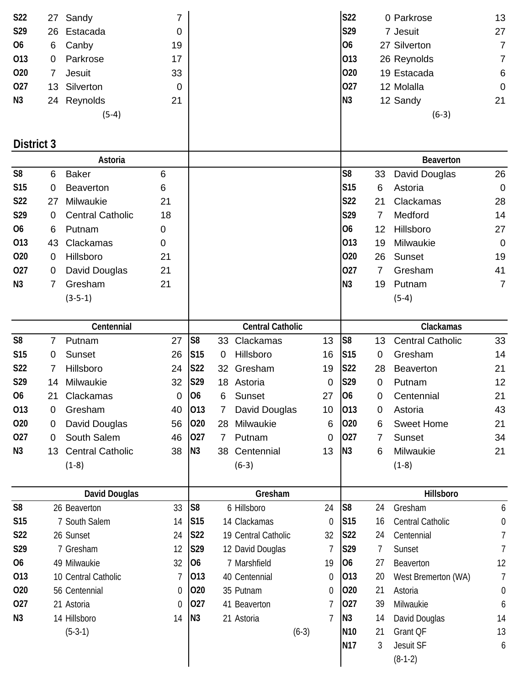| S22             | 27              | Sandy                   | $\overline{7}$ |                 |                 |                         |         |             | <b>S22</b>      |                | 0 Parkrose              | 13               |
|-----------------|-----------------|-------------------------|----------------|-----------------|-----------------|-------------------------|---------|-------------|-----------------|----------------|-------------------------|------------------|
| S29             | 26              | Estacada                | $\mathbf 0$    |                 |                 |                         |         |             | S29             |                | 7 Jesuit                | 27               |
| <b>O6</b>       | 6               | Canby                   | 19             |                 |                 |                         |         |             | <b>O6</b>       |                | 27 Silverton            | $\overline{7}$   |
| 013             | $\mathbf 0$     | Parkrose                | 17             |                 |                 |                         |         |             | 013             |                | 26 Reynolds             | $\overline{7}$   |
| 020             | 7               | Jesuit                  | 33             |                 |                 |                         |         |             | 020             |                | 19 Estacada             | 6                |
| 027             | 13 <sup>2</sup> | Silverton               | $\mathbf 0$    |                 |                 |                         |         |             | 027             |                | 12 Molalla              | $\mathbf 0$      |
| N <sub>3</sub>  |                 | 24 Reynolds             | 21             |                 |                 |                         |         |             | N <sub>3</sub>  |                | 12 Sandy                | 21               |
|                 |                 | $(5-4)$                 |                |                 |                 |                         |         |             |                 |                | $(6-3)$                 |                  |
|                 |                 |                         |                |                 |                 |                         |         |             |                 |                |                         |                  |
| District 3      |                 |                         |                |                 |                 |                         |         |             |                 |                |                         |                  |
|                 |                 | Astoria                 |                |                 |                 |                         |         |             |                 |                | <b>Beaverton</b>        |                  |
| S <sub>8</sub>  | 6               | <b>Baker</b>            | 6              |                 |                 |                         |         |             | S <sub>8</sub>  | 33             | David Douglas           | 26               |
| S <sub>15</sub> | 0               | <b>Beaverton</b>        | 6              |                 |                 |                         |         |             | S <sub>15</sub> | 6              | Astoria                 | $\overline{0}$   |
| S22             | 27              | Milwaukie               | 21             |                 |                 |                         |         |             | <b>S22</b>      | 21             | Clackamas               | 28               |
| S29             | $\mathbf 0$     | <b>Central Catholic</b> | 18             |                 |                 |                         |         |             | S29             | 7              | Medford                 | 14               |
| 06              | 6               | Putnam                  | 0              |                 |                 |                         |         |             | <b>O6</b>       | 12             | Hillsboro               | 27               |
| 013             | 43              | Clackamas               | 0              |                 |                 |                         |         |             | 013             | 19             | Milwaukie               | $\overline{0}$   |
| 020             | 0               | Hillsboro               | 21             |                 |                 |                         |         |             | 020             | 26             | Sunset                  | 19               |
| 027             | 0               | David Douglas           | 21             |                 |                 |                         |         |             | 027             | 7              | Gresham                 | 41               |
| N <sub>3</sub>  | 7               | Gresham                 | 21             |                 |                 |                         |         |             | N <sub>3</sub>  | 19             | Putnam                  | $\overline{7}$   |
|                 |                 | $(3-5-1)$               |                |                 |                 |                         |         |             |                 |                | $(5-4)$                 |                  |
|                 |                 |                         |                |                 |                 |                         |         |             |                 |                |                         |                  |
|                 |                 | Centennial              |                |                 |                 | <b>Central Catholic</b> |         |             |                 |                | Clackamas               |                  |
| S <sub>8</sub>  | 7               | Putnam                  | 27             | S <sub>8</sub>  | 33              | Clackamas               |         | 13          | S8              | 13             | <b>Central Catholic</b> | 33               |
| <b>S15</b>      | 0               | Sunset                  | 26             | S <sub>15</sub> | 0               | Hillsboro               |         | 16          | <b>S15</b>      | 0              | Gresham                 | 14               |
| S22             | 7               | Hillsboro               | 24             | S22             | 32 <sub>2</sub> | Gresham                 |         | 19          | S22             | 28             | <b>Beaverton</b>        | 21               |
| S29             | 14              | Milwaukie               | 32             | S29             |                 | 18 Astoria              |         | $\mathbf 0$ | S29             | 0              | Putnam                  | 12               |
| 06              | 21              | Clackamas               | $\overline{0}$ | 06              | 6               | Sunset                  |         | 27          | 06              | $\overline{0}$ | Centennial              | 21               |
| 013             | 0               | Gresham                 | 40             | 013             | 7               | David Douglas           |         | 10          | 013             | 0              | Astoria                 | 43               |
| 020             | 0               | David Douglas           | 56             | 020             | 28              | Milwaukie               |         | 6           | 020             | 6              | <b>Sweet Home</b>       | 21               |
| 027             | 0               | South Salem             | 46             | 027             | 7               | Putnam                  |         | 0           | 027             | 7              | Sunset                  | 34               |
| N <sub>3</sub>  | 13              | <b>Central Catholic</b> | 38             | N3              | 38              | Centennial              |         | 13          | N <sub>3</sub>  | 6              | Milwaukie               | 21               |
|                 |                 | $(1-8)$                 |                |                 |                 | $(6-3)$                 |         |             |                 |                | $(1-8)$                 |                  |
|                 |                 |                         |                |                 |                 |                         |         |             |                 |                |                         |                  |
|                 |                 | David Douglas           |                |                 |                 | Gresham                 |         |             |                 |                | Hillsboro               |                  |
| S <sub>8</sub>  |                 | 26 Beaverton            | 33             | S <sub>8</sub>  |                 | 6 Hillsboro             |         | 24          | S <sub>8</sub>  | 24             | Gresham                 | 6                |
| <b>S15</b>      |                 | 7 South Salem           | 14             | S <sub>15</sub> |                 | 14 Clackamas            |         | $\mathbf 0$ | S <sub>15</sub> | 16             | Central Catholic        | $\mathbf 0$      |
| <b>S22</b>      |                 | 26 Sunset               | 24             | S22             |                 | 19 Central Catholic     |         | 32          | S22             | 24             | Centennial              | 7                |
| S29             |                 | 7 Gresham               | 12             | S29             |                 | 12 David Douglas        |         | 7           | S29             | 7              | Sunset                  | 7                |
| 06              |                 | 49 Milwaukie            | 32             | 06              |                 | 7 Marshfield            |         | 19          | 06              | 27             | Beaverton               | 12               |
| 013             |                 | 10 Central Catholic     | 7              | 013             |                 | 40 Centennial           |         | 0           | 013             | 20             | West Bremerton (WA)     | $\overline{1}$   |
| 020             |                 | 56 Centennial           | 0              | 020             |                 | 35 Putnam               |         | 0           | 020             | 21             | Astoria                 | $\boldsymbol{0}$ |
| 027             |                 | 21 Astoria              | $\theta$       | 027             |                 | 41 Beaverton            |         | 7           | 027             | 39             | Milwaukie               | 6                |
| N <sub>3</sub>  |                 | 14 Hillsboro            | 14             | N3              |                 | 21 Astoria              |         | 7           | N3              | 14             | David Douglas           | 14               |
|                 |                 | $(5-3-1)$               |                |                 |                 |                         | $(6-3)$ |             | N <sub>10</sub> | 21             | Grant QF                | 13               |
|                 |                 |                         |                |                 |                 |                         |         |             | <b>N17</b>      | 3              | Jesuit SF               | 6                |
|                 |                 |                         |                |                 |                 |                         |         |             |                 |                | $(8-1-2)$               |                  |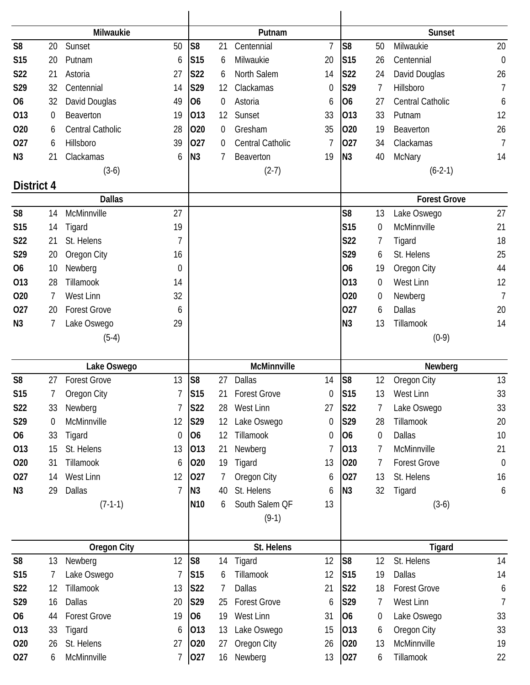|                   |                | Milwaukie           |                |                 |                | Putnam              |    |                |    | <b>Sunset</b>       |                |  |  |
|-------------------|----------------|---------------------|----------------|-----------------|----------------|---------------------|----|----------------|----|---------------------|----------------|--|--|
| S <sub>8</sub>    | 20             | Sunset              | 50             | S <sub>8</sub>  | 21             | Centennial          | 7  | S <sub>8</sub> | 50 | Milwaukie           | 20             |  |  |
| <b>S15</b>        | 20             | Putnam              | 6              | S <sub>15</sub> | 6              | Milwaukie           | 20 | <b>S15</b>     | 26 | Centennial          | $\mathbf 0$    |  |  |
| <b>S22</b>        | 21             | Astoria             | 27             | S22             | 6              | North Salem         | 14 | <b>S22</b>     | 24 | David Douglas       | 26             |  |  |
| S29               | 32             | Centennial          | 14             | S29             | 12             | Clackamas           | 0  | S29            | 7  | Hillsboro           | $\overline{1}$ |  |  |
| O <sub>6</sub>    | 32             | David Douglas       | 49             | O <sub>6</sub>  | 0              | Astoria             | 6  | <b>O6</b>      | 27 | Central Catholic    | 6              |  |  |
| 013               | 0              | Beaverton           | 19             | 013             | 12             | Sunset              | 33 | 013            | 33 | Putnam              | 12             |  |  |
| 020               | 6              | Central Catholic    | 28             | 020             | $\overline{0}$ | Gresham             | 35 | 020            | 19 | Beaverton           | 26             |  |  |
| 027               | 6              | Hillsboro           | 39             | 027             | $\overline{0}$ | Central Catholic    | 7  | 027            | 34 | Clackamas           | $\overline{7}$ |  |  |
| N <sub>3</sub>    | 21             | Clackamas           | 6              | N <sub>3</sub>  | 7              | Beaverton           | 19 | N <sub>3</sub> | 40 | <b>McNary</b>       | 14             |  |  |
|                   |                | $(3-6)$             |                |                 |                | $(2-7)$             |    |                |    | $(6-2-1)$           |                |  |  |
| <b>District 4</b> |                |                     |                |                 |                |                     |    |                |    |                     |                |  |  |
|                   |                | <b>Dallas</b>       |                |                 |                |                     |    |                |    | <b>Forest Grove</b> |                |  |  |
| S <sub>8</sub>    | 14             | McMinnville         | 27             |                 |                |                     |    | S <sub>8</sub> | 13 | Lake Oswego         | 27             |  |  |
| <b>S15</b>        | 14             | Tigard              | 19             |                 |                |                     |    | <b>S15</b>     | 0  | McMinnville         | 21             |  |  |
| S22               | 21             | St. Helens          |                |                 |                |                     |    | S22            | 7  | Tigard              | 18             |  |  |
| S29               | 20             | Oregon City         | 16             |                 |                |                     |    | S29            | 6  | St. Helens          | 25             |  |  |
| <b>O6</b>         | 10             | Newberg             | $\theta$       |                 |                |                     |    | <b>O6</b>      | 19 | Oregon City         | 44             |  |  |
| 013               | 28             | Tillamook           | 14             |                 |                |                     |    | 013            | 0  | <b>West Linn</b>    | 12             |  |  |
| 020               | 7              | West Linn           | 32             |                 |                |                     |    | 020            | 0  | Newberg             | $\overline{7}$ |  |  |
| 027               | 20             | <b>Forest Grove</b> | 6              |                 |                |                     |    | 027            | 6  | <b>Dallas</b>       | 20             |  |  |
| N3                | 7              | Lake Oswego         | 29             |                 |                |                     |    | N <sub>3</sub> | 13 | Tillamook           | 14             |  |  |
|                   |                | $(5-4)$             |                |                 |                |                     |    |                |    | $(0-9)$             |                |  |  |
|                   |                |                     |                |                 |                |                     |    |                |    |                     |                |  |  |
|                   |                | Lake Oswego         |                |                 |                | McMinnville         |    |                |    | Newberg             |                |  |  |
| S <sub>8</sub>    | 27             | <b>Forest Grove</b> | 13             | S <sub>8</sub>  | 27             | Dallas              | 14 | S <sub>8</sub> | 12 | Oregon City         | 13             |  |  |
| S15               | 7 <sup>7</sup> | Oregon City         | $\overline{7}$ | S15             |                | 21 Forest Grove     | 0  | <b>S15</b>     |    | 13 West Linn        | 33             |  |  |
| S22               | 33             | Newberg             | $\overline{7}$ | <b>S22</b>      | 28             | West Linn           | 27 | <b>S22</b>     | 7  | Lake Oswego         | 33             |  |  |
| S29               | 0              | McMinnville         | 12             | <b>S29</b>      | 12             | Lake Oswego         | 0  | S29            | 28 | Tillamook           | 20             |  |  |
| 06                | 33             | Tigard              | $\mathbf 0$    | 06              | 12             | Tillamook           | 0  | <b>O6</b>      | 0  | Dallas              | 10             |  |  |
| 013               | 15             | St. Helens          | 13             | 013             | 21             | Newberg             | 7  | 013            | 7  | McMinnville         | 21             |  |  |
| 020               | 31             | Tillamook           | 6              | 020             | 19             | Tigard              | 13 | 020            | 7  | <b>Forest Grove</b> | $\mathbf 0$    |  |  |
| 027               | 14             | West Linn           | 12             | 027             | 7              | Oregon City         | 6  | 027            | 13 | St. Helens          | 16             |  |  |
| N <sub>3</sub>    | 29             | Dallas              | 7              | N <sub>3</sub>  | 40             | St. Helens          | 6  | N3             | 32 | Tigard              | 6              |  |  |
|                   |                | $(7-1-1)$           |                | N <sub>10</sub> | 6              | South Salem QF      | 13 |                |    | $(3-6)$             |                |  |  |
|                   |                |                     |                |                 |                | $(9-1)$             |    |                |    |                     |                |  |  |
|                   |                | <b>Oregon City</b>  |                |                 |                | St. Helens          |    |                |    | Tigard              |                |  |  |
| S <sub>8</sub>    | 13             | Newberg             | 12             | S <sub>8</sub>  | 14             | Tigard              | 12 | S <sub>8</sub> | 12 | St. Helens          | 14             |  |  |
| S15               | 7              | Lake Oswego         | 7              | S <sub>15</sub> | 6              | Tillamook           | 12 | <b>S15</b>     | 19 | Dallas              | 14             |  |  |
| S22               | 12             | Tillamook           | 13             | <b>S22</b>      | 7              | <b>Dallas</b>       | 21 | S22            | 18 | <b>Forest Grove</b> | 6              |  |  |
| S29               | 16             | Dallas              | 20             | S29             | 25             | <b>Forest Grove</b> | 6  | S29            | 7  | West Linn           | 7              |  |  |
| <b>O6</b>         | 44             | <b>Forest Grove</b> | 19             | 06              | 19             | West Linn           | 31 | <b>O6</b>      | 0  | Lake Oswego         | 33             |  |  |
| 013               | 33             | Tigard              | 6              | 013             | 13             | Lake Oswego         | 15 | 013            | 6  | Oregon City         | 33             |  |  |
| 020               | 26             | St. Helens          | 27             | 020             | 27             | Oregon City         | 26 | 020            | 13 | McMinnville         | 19             |  |  |
|                   |                |                     |                |                 |                |                     |    |                |    |                     |                |  |  |
| 027               | 6              | McMinnville         | 7              | 027             | 16             | Newberg             | 13 | 027            | 6  | Tillamook           | 22             |  |  |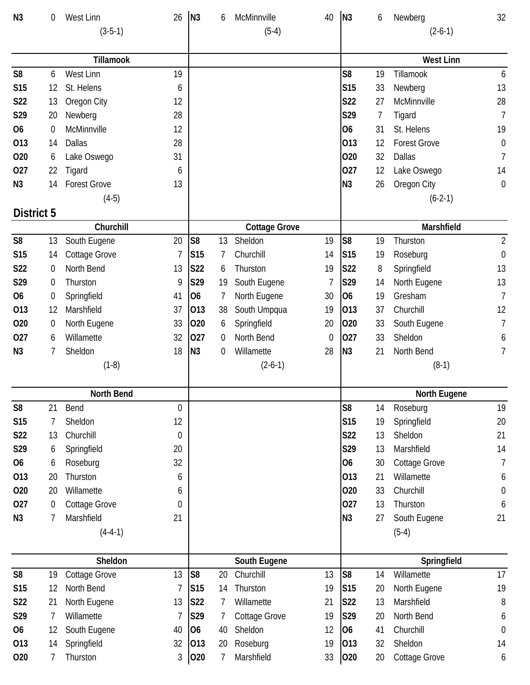| N <sub>3</sub> | 0                | West Linn            | 26               | N <sub>3</sub>  | 6        | McMinnville          | 40          | N <sub>3</sub>  | 6  | Newberg             | 32               |
|----------------|------------------|----------------------|------------------|-----------------|----------|----------------------|-------------|-----------------|----|---------------------|------------------|
|                |                  | $(3-5-1)$            |                  |                 |          | $(5-4)$              |             |                 |    | $(2-6-1)$           |                  |
|                |                  |                      |                  |                 |          |                      |             |                 |    |                     |                  |
|                |                  | Tillamook            |                  |                 |          |                      |             |                 |    | <b>West Linn</b>    |                  |
| S <sub>8</sub> | 6                | West Linn            | 19               |                 |          |                      |             | S <sub>8</sub>  | 19 | Tillamook           | 6                |
| <b>S15</b>     | 12               | St. Helens           | 6                |                 |          |                      |             | <b>S15</b>      | 33 | Newberg             | 13               |
| S22            | 13               | Oregon City          | 12               |                 |          |                      |             | <b>S22</b>      | 27 | McMinnville         | 28               |
| S29            | 20               | Newberg              | 28               |                 |          |                      |             | S29             | 7  | Tigard              | $\overline{7}$   |
| <b>O6</b>      | $\boldsymbol{0}$ | McMinnville          | 12               |                 |          |                      |             | <b>O6</b>       | 31 | St. Helens          | 19               |
| 013            | 14               | <b>Dallas</b>        | 28               |                 |          |                      |             | 013             | 12 | <b>Forest Grove</b> | $\mathbf 0$      |
| 020            | 6                | Lake Oswego          | 31               |                 |          |                      |             | 020             | 32 | <b>Dallas</b>       | $\overline{7}$   |
| 027            | 22               | Tigard               | 6                |                 |          |                      |             | 027             | 12 | Lake Oswego         | 14               |
| N <sub>3</sub> | 14               | <b>Forest Grove</b>  | 13               |                 |          |                      |             | N <sub>3</sub>  | 26 | Oregon City         | $\mathbf 0$      |
|                |                  | $(4-5)$              |                  |                 |          |                      |             |                 |    | $(6-2-1)$           |                  |
| District 5     |                  |                      |                  |                 |          |                      |             |                 |    |                     |                  |
|                |                  | Churchill            |                  |                 |          | <b>Cottage Grove</b> |             |                 |    | Marshfield          |                  |
| S <sub>8</sub> | 13               | South Eugene         | 20               | S <sub>8</sub>  | 13       | Sheldon              | 19          | S <sub>8</sub>  | 19 | Thurston            | $\overline{2}$   |
| S15            | 14               | <b>Cottage Grove</b> | 7                | S <sub>15</sub> | 7        | Churchill            | 14          | S <sub>15</sub> | 19 | Roseburg            | $\boldsymbol{0}$ |
| S22            | 0                | North Bend           | 13               | <b>S22</b>      | 6        | Thurston             | 19          | <b>S22</b>      | 8  | Springfield         | 13               |
| S29            | 0                | Thurston             | 9                | S29             | 19       | South Eugene         | 7           | S29             | 14 | North Eugene        | 13               |
| <b>O6</b>      | 0                | Springfield          | 41               | O <sub>6</sub>  | 7        | North Eugene         | 30          | O <sub>6</sub>  | 19 | Gresham             | $\overline{7}$   |
| 013            | 12               | Marshfield           | 37               | 013             | 38       | South Umpqua         | 19          | 013             | 37 | Churchill           | 12               |
| 020            | 0                | North Eugene         | 33               | 020             | 6        | Springfield          | 20          | 020             | 33 | South Eugene        | $\overline{1}$   |
| 027            | 6                | Willamette           | 32               | 027             | $\bf{0}$ | North Bend           | $\mathbf 0$ | 027             | 33 | Sheldon             | 6                |
| N <sub>3</sub> | 7                | Sheldon              | 18               | N <sub>3</sub>  | 0        | Willamette           | 28          | N <sub>3</sub>  | 21 | North Bend          | 7                |
|                |                  | $(1-8)$              |                  |                 |          | $(2-6-1)$            |             |                 |    | $(8-1)$             |                  |
|                |                  |                      |                  |                 |          |                      |             |                 |    |                     |                  |
|                |                  | <b>North Bend</b>    |                  |                 |          |                      |             |                 |    | <b>North Eugene</b> |                  |
| S <sub>8</sub> | 21               | Bend                 | $\mathbf 0$      |                 |          |                      |             | S <sub>8</sub>  | 14 | Roseburg            | 19               |
| <b>S15</b>     | 7                | Sheldon              | 12               |                 |          |                      |             | <b>S15</b>      | 19 | Springfield         | 20               |
| S22            | 13               | Churchill            | $\boldsymbol{0}$ |                 |          |                      |             | S22             | 13 | Sheldon             | 21               |
| S29            | 6                | Springfield          | 20               |                 |          |                      |             | S29             | 13 | Marshfield          | 14               |
| <b>O6</b>      | 6                | Roseburg             | 32               |                 |          |                      |             | 06              | 30 | Cottage Grove       | 7                |
| 013            | 20               | Thurston             | 6                |                 |          |                      |             | 013             | 21 | Willamette          | 6                |
| 020            | 20               | Willamette           | 6                |                 |          |                      |             | 020             | 33 | Churchill           | $\boldsymbol{0}$ |
| 027            | 0                | Cottage Grove        | $\boldsymbol{0}$ |                 |          |                      |             | 027             | 13 | Thurston            | 6                |
| N3             | 7                | Marshfield           | 21               |                 |          |                      |             | N <sub>3</sub>  | 27 | South Eugene        | 21               |
|                |                  | $(4-4-1)$            |                  |                 |          |                      |             |                 |    | $(5-4)$             |                  |
|                |                  |                      |                  |                 |          |                      |             |                 |    |                     |                  |
|                |                  | Sheldon              |                  |                 |          | South Eugene         |             |                 |    | Springfield         |                  |
| S <sub>8</sub> | 19               | Cottage Grove        | 13               | S <sub>8</sub>  | 20       | Churchill            | 13          | S <sub>8</sub>  | 14 | Willamette          | 17               |
| <b>S15</b>     | 12               | North Bend           | 7                | S15             | 14       | Thurston             | 19          | S <sub>15</sub> | 20 | North Eugene        | 19               |
| <b>S22</b>     | 21               | North Eugene         | 13               | <b>S22</b>      | 7        | Willamette           | 21          | <b>S22</b>      | 13 | Marshfield          | 8                |
| S29            | 7                | Willamette           | 7                | S29             | 7        | Cottage Grove        | 19          | S29             | 20 | North Bend          | 6                |
| 06             | 12               | South Eugene         | 40               | O <sub>6</sub>  | 40       | Sheldon              | 12          | O <sub>6</sub>  | 41 | Churchill           | $\boldsymbol{0}$ |
| 013            | 14               | Springfield          | 32               | 013             | 20       | Roseburg             | 19          | 013             | 32 | Sheldon             | 14               |
| 020            | 7                | Thurston             | $\sqrt{3}$       | 020             | 7        | Marshfield           | 33          | 020             | 20 | Cottage Grove       | 6                |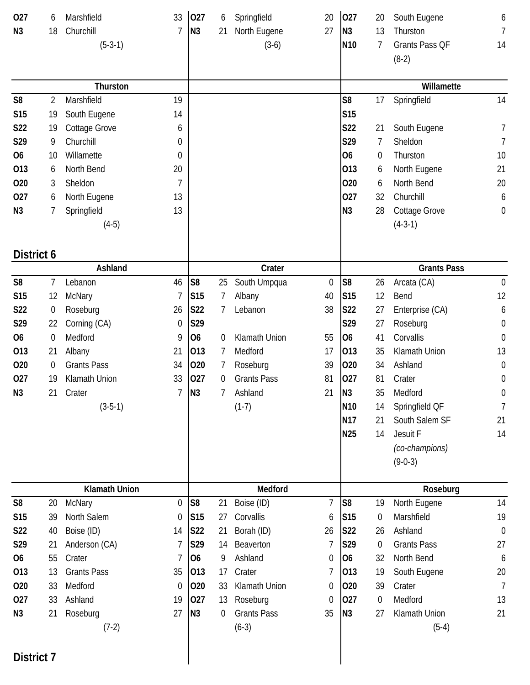| 027            | 6                | Marshfield                     | 33                     | 027             | 6        | Springfield           | 20               | 027             | 20                     | South Eugene             | 6                |
|----------------|------------------|--------------------------------|------------------------|-----------------|----------|-----------------------|------------------|-----------------|------------------------|--------------------------|------------------|
| N <sub>3</sub> | 18               | Churchill                      | 7                      | N <sub>3</sub>  | 21       | North Eugene          | 27               | N <sub>3</sub>  | 13                     | Thurston                 | 7                |
|                |                  | $(5-3-1)$                      |                        |                 |          | $(3-6)$               |                  | N <sub>10</sub> | 7                      | Grants Pass QF           | 14               |
|                |                  |                                |                        |                 |          |                       |                  |                 |                        | $(8-2)$                  |                  |
|                |                  |                                |                        |                 |          |                       |                  |                 |                        |                          |                  |
|                |                  | Thurston                       |                        |                 |          |                       |                  |                 |                        | Willamette               |                  |
| S <sub>8</sub> | 2                | Marshfield                     | 19                     |                 |          |                       |                  | S <sub>8</sub>  | 17                     | Springfield              | 14               |
| <b>S15</b>     | 19               | South Eugene                   | 14                     |                 |          |                       |                  | <b>S15</b>      |                        |                          |                  |
| S22            | 19               | <b>Cottage Grove</b>           | 6                      |                 |          |                       |                  | S22             | 21                     | South Eugene             | 7                |
| S29            | 9                | Churchill                      | 0                      |                 |          |                       |                  | S29             | 7                      | Sheldon                  | 7                |
| <b>O6</b>      | 10               | Willamette                     | 0                      |                 |          |                       |                  | <b>O6</b>       | 0                      | Thurston                 | 10               |
| 013            | 6                | North Bend                     | 20                     |                 |          |                       |                  | 013             | 6                      | North Eugene             | 21               |
| 020            | 3                | Sheldon                        | 7                      |                 |          |                       |                  | 020             | 6                      | North Bend               | 20               |
| 027            | 6                | North Eugene                   | 13                     |                 |          |                       |                  | 027             | 32                     | Churchill                | 6                |
| N <sub>3</sub> | 7                | Springfield                    | 13                     |                 |          |                       |                  | N <sub>3</sub>  | 28                     | <b>Cottage Grove</b>     | $\boldsymbol{0}$ |
|                |                  | $(4-5)$                        |                        |                 |          |                       |                  |                 |                        | $(4-3-1)$                |                  |
| District 6     |                  |                                |                        |                 |          |                       |                  |                 |                        |                          |                  |
|                |                  | Ashland                        |                        |                 |          | Crater                |                  |                 |                        | <b>Grants Pass</b>       |                  |
| S <sub>8</sub> | 7                | Lebanon                        | 46                     | S <sub>8</sub>  | 25       | South Umpqua          | $\boldsymbol{0}$ | S <sub>8</sub>  | 26                     | Arcata (CA)              | $\mathbf 0$      |
| S15            | 12               | McNary                         | 7                      | S <sub>15</sub> | 7        | Albany                | 40               | S <sub>15</sub> | 12                     | Bend                     | 12               |
| S22            | $\boldsymbol{0}$ | Roseburg                       | 26                     | <b>S22</b>      |          | Lebanon               | 38               | <b>S22</b>      | 27                     | Enterprise (CA)          | 6                |
| S29            | 22               | Corning (CA)                   | 0                      | S29             |          |                       |                  | S29             | 27                     | Roseburg                 | $\boldsymbol{0}$ |
| <b>O6</b>      | $\boldsymbol{0}$ | Medford                        | 9                      | O <sub>6</sub>  | 0        | Klamath Union         | 55               | O <sub>6</sub>  | 41                     | Corvallis                | $\mathbf 0$      |
| 013            | 21               | Albany                         | 21                     | 013             | 7        | Medford               | 17               | 013             | 35                     | Klamath Union            | 13               |
| 020            | $\boldsymbol{0}$ | <b>Grants Pass</b>             | 34                     | 020             | 7        | Roseburg              | 39               | 020             | 34                     | Ashland                  | $\boldsymbol{0}$ |
| 027            | 19               | Klamath Union                  | 33                     | 027             | $\Omega$ | <b>Grants Pass</b>    | 81               | 027             | 81                     | Crater                   | $\boldsymbol{0}$ |
| N <sub>3</sub> | 21               | Crater                         | 7                      | N <sub>3</sub>  | 7        | Ashland               | 21               | N <sub>3</sub>  | 35                     | Medford                  | $\boldsymbol{0}$ |
|                |                  | $(3-5-1)$                      |                        |                 |          | $(1-7)$               |                  | N <sub>10</sub> | 14                     | Springfield QF           | 7                |
|                |                  |                                |                        |                 |          |                       |                  | N <sub>17</sub> | 21                     | South Salem SF           | 21               |
|                |                  |                                |                        |                 |          |                       |                  | <b>N25</b>      | 14                     | Jesuit F                 | 14               |
|                |                  |                                |                        |                 |          |                       |                  |                 |                        | (co-champions)           |                  |
|                |                  |                                |                        |                 |          |                       |                  |                 |                        | $(9-0-3)$                |                  |
|                |                  |                                |                        |                 |          |                       |                  |                 |                        |                          |                  |
| S <sub>8</sub> | 20               | <b>Klamath Union</b><br>McNary | 0                      | S <sub>8</sub>  | 21       | Medford<br>Boise (ID) | $\overline{7}$   | S <sub>8</sub>  | 19                     | Roseburg<br>North Eugene | 14               |
| S15            | 39               | North Salem                    |                        | S <sub>15</sub> | 27       | Corvallis             |                  | S <sub>15</sub> |                        | Marshfield               | 19               |
| S22            | 40               | Boise (ID)                     | $\boldsymbol{0}$<br>14 | <b>S22</b>      | 21       | Borah (ID)            | 6<br>26          | S22             | $\boldsymbol{0}$<br>26 | Ashland                  | $\boldsymbol{0}$ |
|                |                  |                                |                        |                 |          |                       |                  |                 |                        |                          |                  |
| S29            | 21               | Anderson (CA)                  | 7                      | S29             | 14       | Beaverton             | 7                | S29             | 0                      | <b>Grants Pass</b>       | 27               |
| <b>O6</b>      | 55               | Crater                         | 7                      | <b>O6</b>       | 9        | Ashland               | 0                | O <sub>6</sub>  | 32                     | North Bend               | 6                |
| 013            | 13               | <b>Grants Pass</b>             | 35                     | 013             | 17       | Crater                | 7                | 013             | 19                     | South Eugene             | 20               |
| 020            | 33               | Medford                        | $\boldsymbol{0}$       | 020             | 33       | Klamath Union         | 0                | 020             | 39                     | Crater                   | $\overline{7}$   |
| 027            | 33               | Ashland                        | 19                     | 027             | 13       | Roseburg              | 0                | 027             | 0                      | Medford                  | 13               |
| N3             | 21               | Roseburg                       | 27                     | N <sub>3</sub>  | 0        | <b>Grants Pass</b>    | 35               | N <sub>3</sub>  | 27                     | Klamath Union            | 21               |
|                |                  | $(7-2)$                        |                        |                 |          | $(6-3)$               |                  |                 |                        | $(5-4)$                  |                  |
| District 7     |                  |                                |                        |                 |          |                       |                  |                 |                        |                          |                  |
|                |                  |                                |                        |                 |          |                       |                  |                 |                        |                          |                  |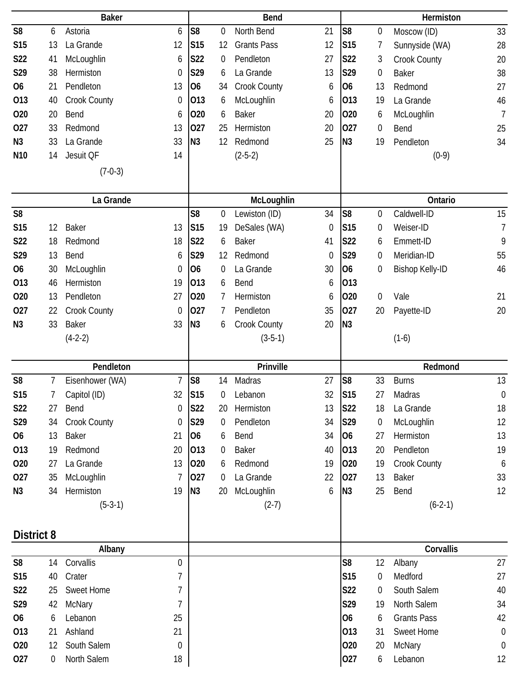| <b>Baker</b>    |    |                     |                  | Bend            |                  |                    |    | Hermiston      |                |                    |                  |
|-----------------|----|---------------------|------------------|-----------------|------------------|--------------------|----|----------------|----------------|--------------------|------------------|
| S <sub>8</sub>  | 6  | Astoria             | 6                | S <sub>8</sub>  | 0                | North Bend         | 21 | S <sub>8</sub> | 0              | Moscow (ID)        | 33               |
| <b>S15</b>      | 13 | La Grande           | 12               | S <sub>15</sub> | 12               | <b>Grants Pass</b> | 12 | <b>S15</b>     | 7              | Sunnyside (WA)     | 28               |
| S22             | 41 | McLoughlin          | 6                | S22             | 0                | Pendleton          | 27 | S22            | 3              | Crook County       | 20               |
| S29             | 38 | Hermiston           | $\mathbf 0$      | S29             | 6                | La Grande          | 13 | S29            | $\mathbf 0$    | <b>Baker</b>       | 38               |
| <b>O6</b>       | 21 | Pendleton           | 13               | O <sub>6</sub>  | 34               | Crook County       | 6  | 06             | 13             | Redmond            | 27               |
| 013             | 40 | Crook County        | 0                | 013             | 6                | McLoughlin         | 6  | 013            | 19             | La Grande          | 46               |
| 020             | 20 | Bend                | 6                | 020             | 6                | <b>Baker</b>       | 20 | 020            | 6              | McLoughlin         | $\overline{1}$   |
| 027             | 33 | Redmond             | 13               | 027             | 25               | Hermiston          | 20 | 027            | $\mathbf 0$    | Bend               | 25               |
| N <sub>3</sub>  | 33 | La Grande           | 33               | N3              | 12               | Redmond            | 25 | N <sub>3</sub> | 19             | Pendleton          | 34               |
| N <sub>10</sub> | 14 | Jesuit QF           | 14               |                 |                  | $(2-5-2)$          |    |                |                | $(0-9)$            |                  |
|                 |    | $(7-0-3)$           |                  |                 |                  |                    |    |                |                |                    |                  |
|                 |    |                     |                  |                 |                  |                    |    |                |                |                    |                  |
|                 |    | La Grande           |                  |                 |                  | McLoughlin         |    |                |                | Ontario            |                  |
| S <sub>8</sub>  |    |                     |                  | S <sub>8</sub>  | $\boldsymbol{0}$ | Lewiston (ID)      | 34 | S <sub>8</sub> | 0              | Caldwell-ID        | 15               |
| <b>S15</b>      | 12 | <b>Baker</b>        | 13               | S <sub>15</sub> | 19               | DeSales (WA)       | 0  | <b>S15</b>     | 0              | Weiser-ID          | $\overline{7}$   |
| S22             | 18 | Redmond             | 18               | <b>S22</b>      | 6                | <b>Baker</b>       | 41 | <b>S22</b>     | 6              | Emmett-ID          | 9                |
| S29             | 13 | Bend                | 6                | S29             | 12               | Redmond            | 0  | S29            | $\theta$       | Meridian-ID        | 55               |
| <b>O6</b>       | 30 | McLoughlin          | 0                | O <sub>6</sub>  | 0                | La Grande          | 30 | <b>O6</b>      | 0              | Bishop Kelly-ID    | 46               |
| 013             | 46 | Hermiston           | 19               | 013             | 6                | Bend               | 6  | 013            |                |                    |                  |
| 020             | 13 | Pendleton           | 27               | 020             | 7                | Hermiston          | 6  | 020            | $\overline{0}$ | Vale               | 21               |
| 027             | 22 | <b>Crook County</b> | 0                | 027             | 7                | Pendleton          | 35 | 027            | 20             | Payette-ID         | 20               |
| N <sub>3</sub>  | 33 | <b>Baker</b>        | 33               | N <sub>3</sub>  | 6                | Crook County       | 20 | N <sub>3</sub> |                |                    |                  |
|                 |    | $(4-2-2)$           |                  |                 |                  | $(3-5-1)$          |    |                |                | $(1-6)$            |                  |
|                 |    |                     |                  |                 |                  |                    |    |                |                |                    |                  |
|                 |    | Pendleton           |                  |                 |                  | Prinville          |    |                |                | Redmond            |                  |
| S <sub>8</sub>  | 7  | Eisenhower (WA)     | $\overline{7}$   | S <sub>8</sub>  | 14               | Madras             | 27 | S <sub>8</sub> | 33             | <b>Burns</b>       | 13               |
| S <sub>15</sub> | 7  | Capitol (ID)        | 32               | <b>S15</b>      | 0                | Lebanon            | 32 | <b>S15</b>     | 27             | Madras             | $\boldsymbol{0}$ |
| <b>S22</b>      | 27 | Bend                | 0                | <b>S22</b>      | 20               | Hermiston          | 13 | <b>S22</b>     | 18             | La Grande          | 18               |
| S29             | 34 | Crook County        | $\boldsymbol{0}$ | S29             | $\overline{0}$   | Pendleton          | 34 | S29            | 0              | McLoughlin         | 12               |
| 06              | 13 | <b>Baker</b>        | 21               | <b>O6</b>       | 6                | Bend               | 34 | <b>O6</b>      | 27             | Hermiston          | 13               |
| 013             | 19 | Redmond             | 20               | 013             | 0                | <b>Baker</b>       | 40 | 013            | 20             | Pendleton          | 19               |
| 020             | 27 | La Grande           | 13               | 020             | 6                | Redmond            | 19 | 020            | 19             | Crook County       | 6                |
| 027             | 35 | McLoughlin          | 7                | 027             | $\overline{0}$   | La Grande          | 22 | 027            | 13             | Baker              | 33               |
| N <sub>3</sub>  | 34 | Hermiston           | 19               | N <sub>3</sub>  | 20               | McLoughlin         | 6  | N3             | 25             | Bend               | 12               |
|                 |    | $(5-3-1)$           |                  |                 |                  | $(2-7)$            |    |                |                | $(6-2-1)$          |                  |
|                 |    |                     |                  |                 |                  |                    |    |                |                |                    |                  |
| District 8      |    |                     |                  |                 |                  |                    |    |                |                |                    |                  |
|                 |    | Albany              |                  |                 |                  |                    |    |                |                | Corvallis          |                  |
| S <sub>8</sub>  | 14 | Corvallis           | $\mathbf 0$      |                 |                  |                    |    | S <sub>8</sub> | 12             | Albany             | 27               |
| S15             | 40 | Crater              | 7                |                 |                  |                    |    | <b>S15</b>     | 0              | Medford            | 27               |
| S <sub>22</sub> | 25 | <b>Sweet Home</b>   | 7                |                 |                  |                    |    | S22            | $\overline{0}$ | South Salem        | 40               |
| S29             | 42 | McNary              | 7                |                 |                  |                    |    | S29            | 19             | North Salem        | 34               |
| 06              | 6  | Lebanon             | 25               |                 |                  |                    |    | 06             | 6              | <b>Grants Pass</b> | 42               |
| 013             | 21 | Ashland             | 21               |                 |                  |                    |    | 013            | 31             | Sweet Home         | $\boldsymbol{0}$ |
| 020             | 12 | South Salem         | $\boldsymbol{0}$ |                 |                  |                    |    | 020            | 20             | McNary             | $\boldsymbol{0}$ |
| 027             | 0  | North Salem         | 18               |                 |                  |                    |    | 027            | 6              | Lebanon            | 12               |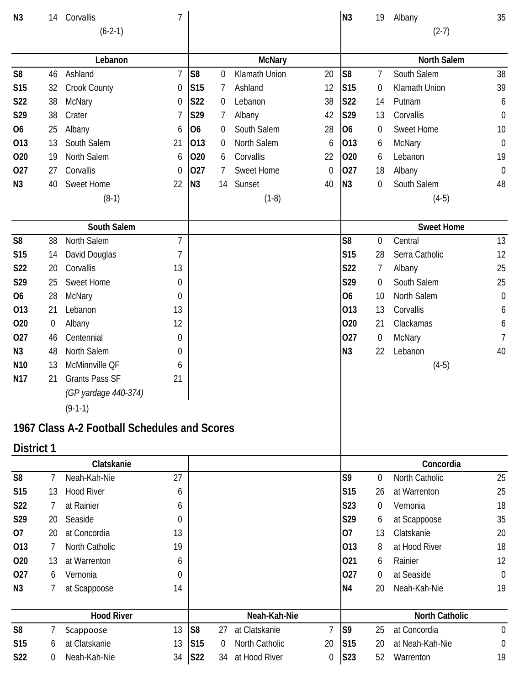| N <sub>3</sub>  | 14               | Corvallis                                    | $\overline{1}$ |                 |          |                   |                | N <sub>3</sub>  | 19               | Albany                | 35               |
|-----------------|------------------|----------------------------------------------|----------------|-----------------|----------|-------------------|----------------|-----------------|------------------|-----------------------|------------------|
|                 |                  | $(6-2-1)$                                    |                |                 |          |                   |                |                 |                  | $(2-7)$               |                  |
|                 |                  | Lebanon                                      |                |                 |          | <b>McNary</b>     |                |                 |                  | <b>North Salem</b>    |                  |
| S <sub>8</sub>  | 46               | Ashland                                      | $\overline{7}$ | S <sub>8</sub>  | 0        | Klamath Union     | 20             | S <sub>8</sub>  | 7                | South Salem           | 38               |
| <b>S15</b>      | 32               | <b>Crook County</b>                          | 0              | S <sub>15</sub> | 7        | Ashland           | 12             | <b>S15</b>      | 0                | Klamath Union         | 39               |
| S22             | 38               | McNary                                       | 0              | <b>S22</b>      | 0        | Lebanon           | 38             | S22             | 14               | Putnam                | 6                |
| S29             | 38               | Crater                                       | 7              | S29             | 7        | Albany            | 42             | S29             | 13               | Corvallis             | $\boldsymbol{0}$ |
| <b>O6</b>       | 25               | Albany                                       | 6              | O <sub>6</sub>  | 0        | South Salem       | 28             | <b>O6</b>       | 0                | Sweet Home            | 10               |
| 013             | 13               | South Salem                                  | 21             | 013             | 0        | North Salem       | 6              | 013             | 6                | McNary                | $\mathbf 0$      |
| 020             | 19               | North Salem                                  | 6              | 020             | 6        | Corvallis         | 22             | 020             | 6                | Lebanon               | 19               |
| 027             | 27               | Corvallis                                    | 0              | 027             | 7        | <b>Sweet Home</b> | 0              | 027             | 18               | Albany                | $\mathbf{0}$     |
| N <sub>3</sub>  | 40               | Sweet Home                                   | 22             | N3              | 14       | Sunset            | 40             | N <sub>3</sub>  | $\boldsymbol{0}$ | South Salem           | 48               |
|                 |                  | $(8-1)$                                      |                |                 |          | $(1-8)$           |                |                 |                  | $(4-5)$               |                  |
|                 |                  | South Salem                                  |                |                 |          |                   |                |                 |                  | <b>Sweet Home</b>     |                  |
| S <sub>8</sub>  | 38               | North Salem                                  | $\overline{1}$ |                 |          |                   |                | S <sub>8</sub>  | $\mathbf 0$      | Central               | 13               |
| <b>S15</b>      | 14               | David Douglas                                | 7              |                 |          |                   |                | <b>S15</b>      | 28               | Serra Catholic        | 12               |
| S22             | 20               | Corvallis                                    | 13             |                 |          |                   |                | S22             | 7                | Albany                | 25               |
| S29             | 25               | Sweet Home                                   | 0              |                 |          |                   |                | S29             | $\Omega$         | South Salem           | 25               |
| O <sub>6</sub>  | 28               | McNary                                       | $\mathbf 0$    |                 |          |                   |                | 06              | 10               | North Salem           | $\mathbf 0$      |
| 013             | 21               | Lebanon                                      | 13             |                 |          |                   |                | 013             | 13               | Corvallis             | 6                |
| 020             | $\boldsymbol{0}$ | Albany                                       | 12             |                 |          |                   |                | 020             | 21               | Clackamas             | 6                |
| 027             | 46               | Centennial                                   | 0              |                 |          |                   |                | 027             | 0                | McNary                | 7                |
| N <sub>3</sub>  | 48               | North Salem                                  | 0              |                 |          |                   |                | N <sub>3</sub>  | 22               | Lebanon               | 40               |
| N <sub>10</sub> | 13               | McMinnville QF                               | 6              |                 |          |                   |                |                 |                  | $(4-5)$               |                  |
| N <sub>17</sub> | 21               | <b>Grants Pass SF</b>                        | 21             |                 |          |                   |                |                 |                  |                       |                  |
|                 |                  | (GP yardage 440-374)                         |                |                 |          |                   |                |                 |                  |                       |                  |
|                 |                  | $(9-1-1)$                                    |                |                 |          |                   |                |                 |                  |                       |                  |
|                 |                  | 1967 Class A-2 Football Schedules and Scores |                |                 |          |                   |                |                 |                  |                       |                  |
| District 1      |                  |                                              |                |                 |          |                   |                |                 |                  |                       |                  |
|                 |                  | Clatskanie                                   |                |                 |          |                   |                |                 |                  | Concordia             |                  |
| S <sub>8</sub>  | 7                | Neah-Kah-Nie                                 | 27             |                 |          |                   |                | S9              | $\Omega$         | North Catholic        | 25               |
| <b>S15</b>      | 13               | <b>Hood River</b>                            | 6              |                 |          |                   |                | <b>S15</b>      | 26               | at Warrenton          | 25               |
| <b>S22</b>      | 7                | at Rainier                                   | 6              |                 |          |                   |                | S23             | $\theta$         | Vernonia              | 18               |
| S29             | 20               | Seaside                                      | 0              |                 |          |                   |                | S29             | 6                | at Scappoose          | 35               |
| 07              | 20               | at Concordia                                 | 13             |                 |          |                   |                | 07              | 13               | Clatskanie            | 20               |
| 013             | 7                | North Catholic                               | 19             |                 |          |                   |                | 013             | 8                | at Hood River         | 18               |
| 020             | 13               | at Warrenton                                 | 6              |                 |          |                   |                | 021             | 6                | Rainier               | 12               |
| 027             | 6                | Vernonia                                     | 0              |                 |          |                   |                | 027             | $\theta$         | at Seaside            | $\mathbf 0$      |
| N <sub>3</sub>  | 7                | at Scappoose                                 | 14             |                 |          |                   |                | N4              | 20               | Neah-Kah-Nie          | 19               |
|                 |                  | <b>Hood River</b>                            |                | Neah-Kah-Nie    |          |                   |                |                 |                  | <b>North Catholic</b> |                  |
| S <sub>8</sub>  | 7                | Scappoose                                    | 13             | S <sub>8</sub>  | 27       | at Clatskanie     | $\overline{7}$ | S <sub>9</sub>  | 25               | at Concordia          | $\overline{0}$   |
| <b>S15</b>      | 6                | at Clatskanie                                | 13             | S <sub>15</sub> | $\Omega$ | North Catholic    | 20             | S <sub>15</sub> | 20               | at Neah-Kah-Nie       | $\boldsymbol{0}$ |
| S <sub>22</sub> | 0                | Neah-Kah-Nie                                 | 34             | <b>S22</b>      | 34       | at Hood River     | 0              | S23             | 52               | Warrenton             | 19               |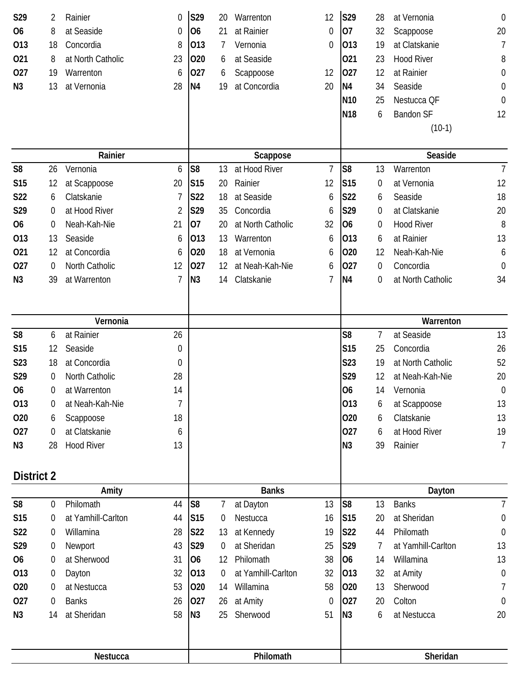| S29               | 2      | Rainier                     | 0           | S29             | 20                   | Warrenton                 | 12                | S29                   | 28               | at Vernonia              | $\mathbf 0$           |
|-------------------|--------|-----------------------------|-------------|-----------------|----------------------|---------------------------|-------------------|-----------------------|------------------|--------------------------|-----------------------|
| <b>O6</b>         | 8      | at Seaside                  | 0           | O <sub>6</sub>  | 21                   | at Rainier                | 0                 | 07                    | 32               | Scappoose                | 20                    |
| 013               | 18     | Concordia                   | 8           | 013             |                      | Vernonia                  | 0                 | 013                   | 19               | at Clatskanie            | 7                     |
| 021               | 8      | at North Catholic           | 23          | 020             | 6                    | at Seaside                |                   | 021                   | 23               | <b>Hood River</b>        | 8                     |
| 027               | 19     | Warrenton                   | 6           | 027             | 6                    | Scappoose                 | 12                | 027                   | 12               | at Rainier               | 0                     |
| N <sub>3</sub>    | 13     | at Vernonia                 | 28          | <b>N4</b>       | 19                   | at Concordia              | 20                | N <sub>4</sub>        | 34               | Seaside                  | 0                     |
|                   |        |                             |             |                 |                      |                           |                   | N <sub>10</sub>       | 25               | Nestucca QF              | $\boldsymbol{0}$      |
|                   |        |                             |             |                 |                      |                           |                   | <b>N18</b>            | 6                | <b>Bandon SF</b>         | 12                    |
|                   |        |                             |             |                 |                      |                           |                   |                       |                  | $(10-1)$                 |                       |
|                   |        |                             |             |                 |                      |                           |                   |                       |                  |                          |                       |
| S <sub>8</sub>    |        | Rainier<br>Vernonia         |             | S <sub>8</sub>  | 13                   | Scappose<br>at Hood River | $\overline{7}$    | S <sub>8</sub>        |                  | Seaside<br>Warrenton     | $\overline{7}$        |
|                   | 26     |                             | 6           |                 |                      | Rainier                   |                   |                       | 13               | at Vernonia              |                       |
| <b>S15</b>        | 12     | at Scappoose                | 20          | S <sub>15</sub> | 20                   |                           | 12                | <b>S15</b>            | $\boldsymbol{0}$ |                          | 12                    |
| S22               | 6      | Clatskanie<br>at Hood River | 7           | S22             | 18                   | at Seaside                | 6                 | S22                   | 6                | Seaside<br>at Clatskanie | 18                    |
| S29               | 0      |                             | 2           | S29             | 35                   | Concordia                 | 6                 | S29                   | $\overline{0}$   |                          | 20                    |
| <b>O6</b>         | 0      | Neah-Kah-Nie                | 21          | 07              | 20                   | at North Catholic         | 32                | <b>O6</b>             | 0                | <b>Hood River</b>        | $\, 8$                |
| 013               | 13     | Seaside                     | 6           | 013             | 13                   | Warrenton                 | 6                 | 013                   | 6                | at Rainier               | 13                    |
| 021               | 12     | at Concordia                | 6           | 020             | 18                   | at Vernonia               | 6                 | 020                   | 12               | Neah-Kah-Nie             | 6                     |
| 027               | 0      | North Catholic              | 12          | 027             | 12                   | at Neah-Kah-Nie           | 6                 | 027                   | 0                | Concordia                | $\mathbf 0$           |
| N <sub>3</sub>    | 39     | at Warrenton                | 7           | N3              | 14                   | Clatskanie                | 7                 | N <sub>4</sub>        | 0                | at North Catholic        | 34                    |
|                   |        |                             |             |                 |                      |                           |                   |                       |                  |                          |                       |
|                   |        | Vernonia                    |             |                 |                      |                           |                   |                       |                  | Warrenton                |                       |
| S <sub>8</sub>    | 6      | at Rainier                  | 26          |                 |                      |                           |                   | S <sub>8</sub>        | 7                | at Seaside               | 13                    |
| <b>S15</b>        | 12     | Seaside                     | $\mathbf 0$ |                 |                      |                           |                   | S <sub>15</sub>       | 25               | Concordia                | 26                    |
| S23               | 18     | at Concordia                | 0           |                 |                      |                           |                   | S23                   | 19               | at North Catholic        | 52                    |
| S29               | 0      | North Catholic              | 28          |                 |                      |                           |                   | S29                   | 12               | at Neah-Kah-Nie          | 20                    |
| <b>O6</b>         | 0      | at Warrenton                | 14          |                 |                      |                           |                   | O <sub>6</sub>        | 14               | Vernonia                 | $\mathbf 0$           |
| 013               | 0      | at Neah-Kah-Nie             | 7           |                 |                      |                           |                   | 013                   | 6                | at Scappoose             | 13                    |
| 020               | 6      | Scappoose                   | 18          |                 |                      |                           |                   | 020                   | 6                | Clatskanie               | 13                    |
| 027               | 0      | at Clatskanie               | 6           |                 |                      |                           |                   | 027                   | 6                | at Hood River            | 19                    |
| N <sub>3</sub>    | 28     | <b>Hood River</b>           | 13          |                 |                      |                           |                   | N <sub>3</sub>        | 39               | Rainier                  | $\overline{7}$        |
|                   |        |                             |             |                 |                      |                           |                   |                       |                  |                          |                       |
| <b>District 2</b> |        | Amity                       |             |                 |                      | <b>Banks</b>              |                   |                       |                  | Dayton                   |                       |
| S <sub>8</sub>    | 0      | Philomath                   | 44          | S <sub>8</sub>  | 7                    | at Dayton                 | 13                | S <sub>8</sub>        | 13               | <b>Banks</b>             | $\overline{1}$        |
| <b>S15</b>        |        |                             |             |                 |                      |                           |                   | S <sub>15</sub>       | 20               | at Sheridan              | $\boldsymbol{0}$      |
| <b>S22</b>        | 0      | at Yamhill-Carlton          | 44          |                 | $\overline{0}$       | Nestucca                  | 16                |                       |                  |                          |                       |
|                   |        | Willamina                   |             | S <sub>15</sub> |                      |                           |                   |                       | 44               | Philomath                |                       |
|                   | 0      |                             | 28          | <b>S22</b>      | 13                   | at Kennedy                | 19                | S22                   | 7                |                          | $\mathbf 0$           |
| S29               | 0      | Newport<br>at Sherwood      | 43          | S29             | $\overline{0}$       | at Sheridan<br>Philomath  | 25                | S29<br>O <sub>6</sub> | 14               | at Yamhill-Carlton       | 13                    |
| <b>O6</b>         | 0      |                             | 31          | O <sub>6</sub>  | 12                   |                           | 38                |                       |                  | Willamina                | 13                    |
| 013               | 0<br>0 | Dayton                      | 32          | 013             | $\overline{0}$<br>14 | at Yamhill-Carlton        | 32                | 013                   | 32<br>13         | at Amity                 | $\boldsymbol{0}$<br>7 |
| 020               | 0      | at Nestucca                 | 53          | 020             |                      | Willamina                 | 58<br>$\mathbf 0$ | 020                   |                  | Sherwood                 |                       |
| 027               |        | <b>Banks</b>                | 26          | 027             | 26                   | at Amity                  |                   | 027                   | 20               | Colton                   | $\theta$              |
| N <sub>3</sub>    | 14     | at Sheridan                 | 58          | N3              | 25                   | Sherwood                  | 51                | N3                    | 6                | at Nestucca              | 20                    |
|                   |        | Nestucca                    |             |                 |                      | Philomath                 |                   |                       |                  | Sheridan                 |                       |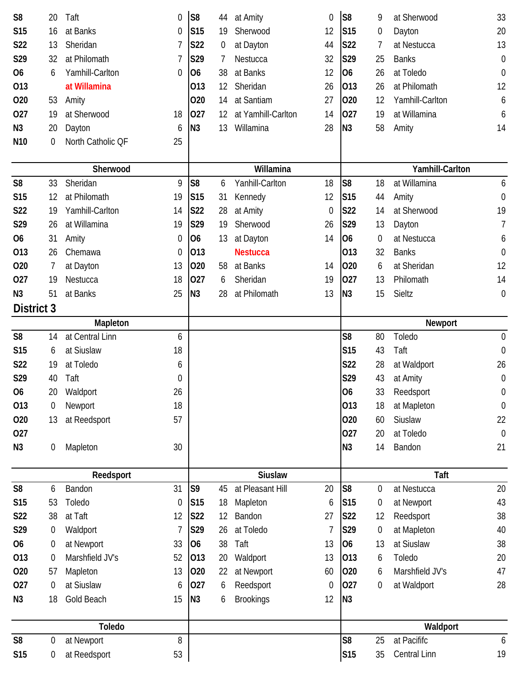| S <sub>8</sub>    | 20               | Taft                        | 0  | S <sub>8</sub>  | 44             | at Amity           | 0  | S <sub>8</sub>  | 9                | at Sherwood       | 33               |
|-------------------|------------------|-----------------------------|----|-----------------|----------------|--------------------|----|-----------------|------------------|-------------------|------------------|
| <b>S15</b>        | 16               | at Banks                    | 0  | S <sub>15</sub> | 19             | Sherwood           | 12 | <b>S15</b>      | $\boldsymbol{0}$ | Dayton            | 20               |
| S22               | 13               | Sheridan                    | 7  | <b>S22</b>      | $\overline{0}$ | at Dayton          | 44 | S22             | 7                | at Nestucca       | 13               |
| S29               | 32               | at Philomath                | 7  | S29             | 7              | Nestucca           | 32 | S29             | 25               | <b>Banks</b>      | $\boldsymbol{0}$ |
| 06                | 6                | Yamhill-Carlton             | 0  | O <sub>6</sub>  | 38             | at Banks           | 12 | 06              | 26               | at Toledo         | $\boldsymbol{0}$ |
| 013               |                  | at Willamina                |    | 013             | 12             | Sheridan           | 26 | 013             | 26               | at Philomath      | 12               |
| 020               | 53               | Amity                       |    | 020             | 14             | at Santiam         | 27 | 020             | 12               | Yamhill-Carlton   | 6                |
| 027               | 19               | at Sherwood                 | 18 | 027             | 12             | at Yamhill-Carlton | 14 | 027             | 19               | at Willamina      | 6                |
| N <sub>3</sub>    | 20               | Dayton                      | 6  | N <sub>3</sub>  | 13             | Willamina          | 28 | N <sub>3</sub>  | 58               | Amity             | 14               |
| N <sub>10</sub>   | $\boldsymbol{0}$ | North Catholic QF           | 25 |                 |                |                    |    |                 |                  |                   |                  |
|                   |                  |                             |    |                 |                |                    |    |                 |                  |                   |                  |
|                   |                  | Sherwood                    |    |                 |                | Willamina          |    |                 |                  | Yamhill-Carlton   |                  |
| S <sub>8</sub>    | 33               | Sheridan                    | 9  | S <sub>8</sub>  | 6              | Yanhill-Carlton    | 18 | S <sub>8</sub>  | 18               | at Willamina      | 6                |
| <b>S15</b>        | 12               | at Philomath                | 19 | S <sub>15</sub> | 31             | Kennedy            | 12 | <b>S15</b>      | 44               | Amity             | $\mathbf 0$      |
| S22               | 19               | Yamhill-Carlton             | 14 | S22             | 28             | at Amity           | 0  | S22             | 14               | at Sherwood       | 19               |
| S29               | 26               | at Willamina                | 19 | S29             | 19             | Sherwood           | 26 | S29             | 13               | Dayton            | 7                |
| O <sub>6</sub>    | 31               | Amity                       | 0  | O <sub>6</sub>  | 13             | at Dayton          | 14 | <b>O6</b>       | 0                | at Nestucca       | 6                |
| 013               | 26               | Chemawa                     | 0  | 013             |                | <b>Nestucca</b>    |    | 013             | 32               | <b>Banks</b>      | $\boldsymbol{0}$ |
| 020               | 7                | at Dayton                   | 13 | 020             | 58             | at Banks           | 14 | 020             | 6                | at Sheridan       | 12               |
| 027               | 19               | Nestucca                    | 18 | 027             | 6              | Sheridan           | 19 | 027             | 13               | Philomath         | 14               |
| N <sub>3</sub>    | 51               | at Banks                    | 25 | N <sub>3</sub>  | 28             | at Philomath       | 13 | N <sub>3</sub>  | 15               | Sieltz            | $\boldsymbol{0}$ |
| <b>District 3</b> |                  |                             |    |                 |                |                    |    |                 |                  |                   |                  |
| S <sub>8</sub>    | 14               | Mapleton<br>at Central Linn | 6  |                 |                |                    |    | S <sub>8</sub>  | 80               | Newport<br>Toledo | $\mathbf 0$      |
| <b>S15</b>        |                  | at Siuslaw                  | 18 |                 |                |                    |    | S15             | 43               | Taft              | $\boldsymbol{0}$ |
| S22               | 6<br>19          | at Toledo                   | 6  |                 |                |                    |    | S22             | 28               | at Waldport       | 26               |
| S29               | 40               | Taft                        | 0  |                 |                |                    |    | S29             | 43               | at Amity          | $\boldsymbol{0}$ |
| <b>O6</b>         | 20               | Waldport                    | 26 |                 |                |                    |    | O <sub>6</sub>  | 33               | Reedsport         | 0                |
| 013               | 0                | Newport                     | 18 |                 |                |                    |    | 013             | 18               | at Mapleton       | $\boldsymbol{0}$ |
| 020               | 13               | at Reedsport                | 57 |                 |                |                    |    | 020             | 60               | Siuslaw           | 22               |
| 027               |                  |                             |    |                 |                |                    |    | 027             | 20               | at Toledo         | $\mathbf 0$      |
| N <sub>3</sub>    | 0                | Mapleton                    | 30 |                 |                |                    |    | N3              | 14               | Bandon            | 21               |
|                   |                  |                             |    |                 |                |                    |    |                 |                  |                   |                  |
|                   |                  | Reedsport                   |    |                 |                | <b>Siuslaw</b>     |    |                 |                  | Taft              |                  |
| S <sub>8</sub>    | 6                | Bandon                      | 31 | S <sub>9</sub>  | 45             | at Pleasant Hill   | 20 | S <sub>8</sub>  | 0                | at Nestucca       | 20               |
| <b>S15</b>        | 53               | Toledo                      | 0  | S <sub>15</sub> | 18             | Mapleton           | 6  | S <sub>15</sub> | $\boldsymbol{0}$ | at Newport        | 43               |
| S22               | 38               | at Taft                     | 12 | S22             | 12             | Bandon             | 27 | S22             | 12               | Reedsport         | 38               |
| S29               | $\boldsymbol{0}$ | Waldport                    | 7  | S29             | 26             | at Toledo          | 7  | S29             | 0                | at Mapleton       | 40               |
| 06                | 0                | at Newport                  | 33 | <b>O6</b>       | 38             | Taft               | 13 | <b>O6</b>       | 13               | at Siuslaw        | 38               |
| 013               | $\mathbf 0$      | Marshfield JV's             | 52 | 013             | 20             | Waldport           | 13 | 013             | 6                | Toledo            | 20               |
| 020               | 57               | Mapleton                    | 13 | 020             | 22             | at Newport         | 60 | 020             | 6                | Marshfield JV's   | 47               |
| 027               | 0                | at Siuslaw                  | 6  | 027             | 6              | Reedsport          | 0  | 027             | 0                | at Waldport       | 28               |
| N <sub>3</sub>    | 18               | Gold Beach                  | 15 | N3              | 6              | <b>Brookings</b>   | 12 | N <sub>3</sub>  |                  |                   |                  |
|                   |                  | Toledo                      |    |                 |                |                    |    |                 |                  | Waldport          |                  |
| S <sub>8</sub>    | 0                | at Newport                  | 8  |                 |                |                    |    | S <sub>8</sub>  | 25               | at Pacififc       |                  |
|                   |                  |                             |    |                 |                |                    |    |                 |                  |                   | 6                |
| S15               | 0                | at Reedsport                | 53 |                 |                |                    |    | <b>S15</b>      | 35               | Central Linn      | 19               |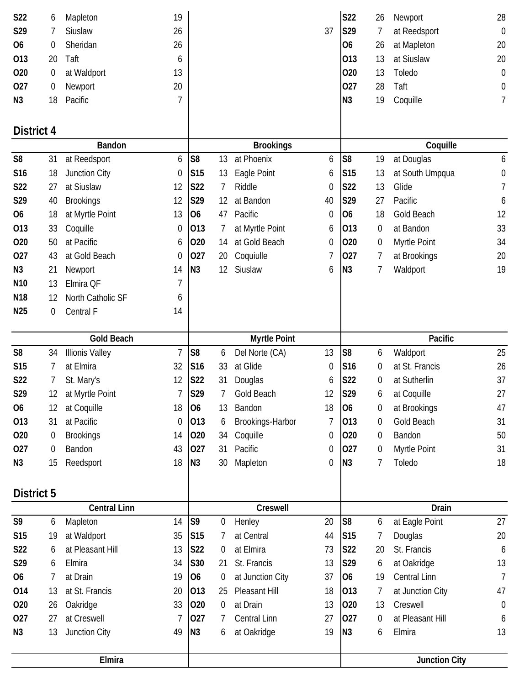|                 |                  | Elmira                 |                |                 |                  |                     |                  |                 |                  | <b>Junction City</b>   |                  |
|-----------------|------------------|------------------------|----------------|-----------------|------------------|---------------------|------------------|-----------------|------------------|------------------------|------------------|
|                 |                  |                        |                |                 |                  |                     |                  |                 |                  |                        |                  |
| N3              | 13               | Junction City          | 49             | N <sub>3</sub>  | 6                | at Oakridge         | 19               | N <sub>3</sub>  | 6                | Elmira                 | 13               |
| 027             | 27               | at Creswell            | 7              | 027             | 7                | <b>Central Linn</b> | 27               | 027             | $\boldsymbol{0}$ | at Pleasant Hill       | 6                |
| 020             | 26               | Oakridge               | 33             | 020             | 0                | at Drain            | 13               | 020             | 13               | Creswell               | $\boldsymbol{0}$ |
| 014             | 13               | at St. Francis         | 20             | 013             | 25               | Pleasant Hill       | 18               | 013             | 7                | at Junction City       | 47               |
| 06              | 7                | at Drain               | 19             | O <sub>6</sub>  | $\boldsymbol{0}$ | at Junction City    | 37               | 06              | 19               | Central Linn           | $\overline{1}$   |
| S29             | 6                | Elmira                 | 34             | S30             | 21               | St. Francis         | 13               | S29             | 6                | at Oakridge            | 13               |
| S22             | 6                | at Pleasant Hill       | 13             | S22             | $\theta$         | at Elmira           | 73               | S22             | 20               | St. Francis            | 6                |
| S15             | 19               | at Waldport            | 35             | S <sub>15</sub> | 7                | at Central          | 44               | <b>S15</b>      | 7                | Douglas                | 20               |
| S9              | 6                | Mapleton               | 14             | S <sub>9</sub>  | 0                | Henley              | 20               | S <sub>8</sub>  | 6                | at Eagle Point         | 27               |
|                 |                  | <b>Central Linn</b>    |                |                 |                  | Creswell            |                  |                 |                  | Drain                  |                  |
| District 5      |                  |                        |                |                 |                  |                     |                  |                 |                  |                        |                  |
| N <sub>3</sub>  | 15               | Reedsport              | 18             |                 | 30               | Mapleton            | 0                | N <sub>3</sub>  | 7                |                        | 18               |
| 027             | 0                | Bandon                 | 43             | N3              | 31               | Pacific             | 0                | 027             | 0                | Myrtle Point<br>Toledo | 31               |
| 020             | $\boldsymbol{0}$ | <b>Brookings</b>       | 14             | 020<br>027      | 34               | Coquille            | 0                | 020             | 0                | Bandon                 | 50               |
| 013             | 31               | at Pacific             | $\mathbf 0$    | 013             | 6                | Brookings-Harbor    | 7                | 013             | $\boldsymbol{0}$ | Gold Beach             | 31               |
| <b>O6</b>       | 12               | at Coquille            | 18             | 06              | 13               | Bandon              | 18               | 06              | $\boldsymbol{0}$ | at Brookings           | 47               |
| S29             | 12               | at Myrtle Point        | 7              | S29             | 7                | Gold Beach          | 12               | <b>S29</b>      | 6                | at Coquille            | 27               |
| S22             | 7                | St. Mary's             | 12             | <b>S22</b>      | 31               | Douglas             | 6                | S22             | 0                | at Sutherlin           | 37               |
| S15             | 7                | at Elmira              | 32             | S <sub>16</sub> | 33               | at Glide            | 0                | S16             | $\boldsymbol{0}$ | at St. Francis         | 26               |
| S <sub>8</sub>  | 34               | <b>Illionis Valley</b> | $\overline{1}$ | S <sub>8</sub>  | 6                | Del Norte (CA)      | 13               | S <sub>8</sub>  | 6                | Waldport               | 25               |
|                 |                  | <b>Gold Beach</b>      |                |                 |                  | <b>Myrtle Point</b> |                  |                 |                  | Pacific                |                  |
|                 |                  |                        |                |                 |                  |                     |                  |                 |                  |                        |                  |
| N <sub>25</sub> | 0                | Central F              | 14             |                 |                  |                     |                  |                 |                  |                        |                  |
| N <sub>18</sub> | 12               | North Catholic SF      | 6              |                 |                  |                     |                  |                 |                  |                        |                  |
| N <sub>10</sub> | 13               | Elmira QF              | 7              |                 |                  |                     |                  |                 |                  |                        |                  |
| N <sub>3</sub>  | 21               | Newport                | 14             | N <sub>3</sub>  | 12               | Siuslaw             | 6                | N <sub>3</sub>  | 7                | Waldport               | 19               |
| 027             | 43               | at Gold Beach          | 0              | 027             | 20               | Coquiulle           | 7                | 027             | 7                | at Brookings           | 20               |
| 020             | 50               | at Pacific             | 6              | 020             | 14               | at Gold Beach       | 0                | 020             | 0                | Myrtle Point           | 34               |
| 013             | 33               | Coquille               | 0              | 013             | 7                | at Myrtle Point     | 6                | 013             | 0                | at Bandon              | 33               |
| 06              | 18               | at Myrtle Point        | 13             | O <sub>6</sub>  | 47               | Pacific             | $\boldsymbol{0}$ | <b>O6</b>       | 18               | Gold Beach             | 12               |
| S29             | 40               | <b>Brookings</b>       | 12             | S29             | 12               | at Bandon           | 40               | S29             | 27               | Pacific                | 6                |
| <b>S22</b>      | 27               | at Siuslaw             | 12             | S22             | 7                | Riddle              | $\boldsymbol{0}$ | S22             | 13               | Glide                  | 7                |
| S16             | 18               | Junction City          | 0              | S <sub>15</sub> | 13               | Eagle Point         | 6                | S <sub>15</sub> | 13               | at South Umpqua        | $\boldsymbol{0}$ |
| S <sub>8</sub>  | 31               | at Reedsport           | 6              | S <sub>8</sub>  | 13               | at Phoenix          | 6                | S <sub>8</sub>  | 19               | at Douglas             | 6                |
|                 |                  | <b>Bandon</b>          |                |                 |                  | <b>Brookings</b>    |                  |                 |                  | Coquille               |                  |
| District 4      |                  |                        |                |                 |                  |                     |                  |                 |                  |                        |                  |
| N <sub>3</sub>  | 18               | Pacific                | 7              |                 |                  |                     |                  | N <sub>3</sub>  | 19               | Coquille               | 7                |
| 027             | 0                | Newport                | 20             |                 |                  |                     |                  | 027             | 28               | Taft                   | 0                |
| 020             | 0                | at Waldport            | 13             |                 |                  |                     |                  | 020             | 13               | Toledo                 | $\boldsymbol{0}$ |
| 013             | 20               | Taft                   | 6              |                 |                  |                     |                  | 013             | 13               | at Siuslaw             | 20               |
| <b>O6</b>       | 0                | Sheridan               | 26             |                 |                  |                     |                  | O <sub>6</sub>  | 26               | at Mapleton            | 20               |
| S29             | 7                | Siuslaw                | 26             |                 |                  |                     | 37               | S29             | 7                | at Reedsport           | $\boldsymbol{0}$ |
| S22             | 6                | Mapleton               | 19             |                 |                  |                     |                  | <b>S22</b>      | 26               | Newport                | 28               |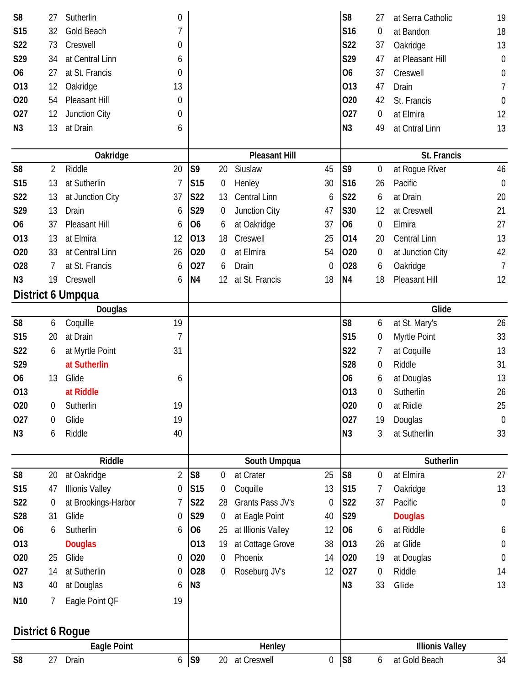| S <sub>8</sub>  | 27               | Sutherlin              | 0              |                 |                  |                      |                  | S <sub>8</sub>  | 27               | at Serra Catholic      | 19               |
|-----------------|------------------|------------------------|----------------|-----------------|------------------|----------------------|------------------|-----------------|------------------|------------------------|------------------|
| <b>S15</b>      | 32               | Gold Beach             | 7              |                 |                  |                      |                  | S <sub>16</sub> | $\mathbf 0$      | at Bandon              | 18               |
| S22             | 73               | Creswell               | 0              |                 |                  |                      |                  | <b>S22</b>      | 37               | Oakridge               | 13               |
| S29             | 34               | at Central Linn        | 6              |                 |                  |                      |                  | S29             | 47               | at Pleasant Hill       | $\boldsymbol{0}$ |
| 06              | 27               | at St. Francis         | 0              |                 |                  |                      |                  | <b>O6</b>       | 37               | Creswell               | 0                |
| 013             | 12               | Oakridge               | 13             |                 |                  |                      |                  | 013             | 47               | Drain                  | 7                |
| 020             | 54               | Pleasant Hill          | 0              |                 |                  |                      |                  | 020             | 42               | St. Francis            | 0                |
| 027             | 12               | Junction City          | 0              |                 |                  |                      |                  | 027             | 0                | at Elmira              | 12               |
| N <sub>3</sub>  | 13               | at Drain               | 6              |                 |                  |                      |                  | N <sub>3</sub>  | 49               | at Cntral Linn         | 13               |
|                 |                  |                        |                |                 |                  |                      |                  |                 |                  |                        |                  |
|                 |                  | Oakridge               |                |                 |                  | <b>Pleasant Hill</b> |                  |                 |                  | St. Francis            |                  |
| S <sub>8</sub>  | 2                | Riddle                 | 20             | S <sub>9</sub>  | 20               | Siuslaw              | 45               | S <sub>9</sub>  | $\boldsymbol{0}$ | at Rogue River         | 46               |
| <b>S15</b>      | 13               | at Sutherlin           | 7              | S <sub>15</sub> | $\boldsymbol{0}$ | Henley               | 30               | S16             | 26               | Pacific                | $\mathbf 0$      |
| S22             | 13               | at Junction City       | 37             | <b>S22</b>      | 13               | Central Linn         | 6                | <b>S22</b>      | 6                | at Drain               | 20               |
| S29             | 13               | Drain                  | 6              | S29             | 0                | Junction City        | 47               | S30             | 12               | at Creswell            | 21               |
| O <sub>6</sub>  | 37               | Pleasant Hill          | 6              | O <sub>6</sub>  | 6                | at Oakridge          | 37               | <b>O6</b>       | 0                | Elmira                 | 27               |
| 013             | 13               | at Elmira              | 12             | 013             | 18               | Creswell             | 25               | 014             | 20               | <b>Central Linn</b>    | 13               |
| 020             | 33               | at Central Linn        | 26             | 020             | 0                | at Elmira            | 54               | 020             | $\boldsymbol{0}$ | at Junction City       | 42               |
| 028             | 7                | at St. Francis         | 6              | 027             | 6                | Drain                | 0                | 028             | 6                | Oakridge               | $\overline{7}$   |
| N <sub>3</sub>  | 19               | Creswell               | 6              | N <sub>4</sub>  | 12               | at St. Francis       | 18               | N <sub>4</sub>  | 18               | Pleasant Hill          | 12               |
|                 |                  | District 6 Umpqua      |                |                 |                  |                      |                  |                 |                  |                        |                  |
|                 |                  | Douglas                |                |                 |                  |                      |                  |                 |                  | Glide                  |                  |
| S <sub>8</sub>  | 6                | Coquille               | 19             |                 |                  |                      |                  | S <sub>8</sub>  | 6                | at St. Mary's          | 26               |
| <b>S15</b>      | 20               | at Drain               | 7              |                 |                  |                      |                  | <b>S15</b>      | $\boldsymbol{0}$ | Myrtle Point           | 33               |
| S22             | 6                | at Myrtle Point        | 31             |                 |                  |                      |                  | <b>S22</b>      | 7                | at Coquille            | 13               |
| S29             |                  | at Sutherlin           |                |                 |                  |                      |                  | S28             | $\boldsymbol{0}$ | Riddle                 | 31               |
| 06              | 13               | Glide                  | 6              |                 |                  |                      |                  | 06              | 6                | at Douglas             | 13               |
| 013             |                  | at Riddle              |                |                 |                  |                      |                  | 013             | 0                | Sutherlin              | 26               |
| 020             | 0                | Sutherlin              | 19             |                 |                  |                      |                  | 020             | $\mathbf 0$      | at Riidle              | 25               |
| 027             | 0                | Glide                  | 19             |                 |                  |                      |                  | 027             | 19               | Douglas                | $\mathbf 0$      |
| N <sub>3</sub>  | 6                | Riddle                 | 40             |                 |                  |                      |                  | N <sub>3</sub>  | 3                | at Sutherlin           | 33               |
|                 |                  | <b>Riddle</b>          |                |                 |                  | South Umpqua         |                  |                 |                  | Sutherlin              |                  |
| S <sub>8</sub>  | 20               | at Oakridge            | $\overline{2}$ | S <sub>8</sub>  | 0                | at Crater            | 25               | S <sub>8</sub>  | 0                | at Elmira              | 27               |
| <b>S15</b>      | 47               | <b>Illionis Valley</b> | 0              | S <sub>15</sub> | $\overline{0}$   | Coquille             | 13               | S <sub>15</sub> | 7                | Oakridge               | 13               |
| S22             | $\boldsymbol{0}$ | at Brookings-Harbor    | 7              | S22             | 28               | Grants Pass JV's     | 0                | <b>S22</b>      | 37               | Pacific                | $\boldsymbol{0}$ |
| S28             | 31               | Glide                  | 0              | S29             | 0                | at Eagle Point       | 40               | S29             |                  | <b>Douglas</b>         |                  |
| 06              | 6                | Sutherlin              | 6              | <b>O6</b>       | 25               | at Illionis Valley   | 12               | <b>O6</b>       | 6                | at Riddle              | 6                |
| 013             |                  | <b>Douglas</b>         |                | 013             | 19               | at Cottage Grove     | 38               | 013             | 26               | at Glide               | $\boldsymbol{0}$ |
| 020             | 25               | Glide                  | 0              | 020             | $\overline{0}$   | Phoenix              | 14               | 020             | 19               | at Douglas             | $\boldsymbol{0}$ |
| 027             | 14               | at Sutherlin           | 0              | 028             | 0                | Roseburg JV's        | 12               | 027             | 0                | Riddle                 | 14               |
| N <sub>3</sub>  | 40               | at Douglas             | 6              | N <sub>3</sub>  |                  |                      |                  | N <sub>3</sub>  | 33               | Glide                  | 13               |
| N <sub>10</sub> | 7                | Eagle Point OF         | 19             |                 |                  |                      |                  |                 |                  |                        |                  |
|                 |                  |                        |                |                 |                  |                      |                  |                 |                  |                        |                  |
|                 |                  | District 6 Rogue       |                |                 |                  |                      |                  |                 |                  |                        |                  |
|                 |                  | <b>Eagle Point</b>     |                |                 |                  | Henley               |                  |                 |                  | <b>Illionis Valley</b> |                  |
| S <sub>8</sub>  | 27               | Drain                  | 6              | S <sub>9</sub>  | 20               | at Creswell          | $\boldsymbol{0}$ | S <sub>8</sub>  | 6                | at Gold Beach          | 34               |
|                 |                  |                        |                |                 |                  |                      |                  |                 |                  |                        |                  |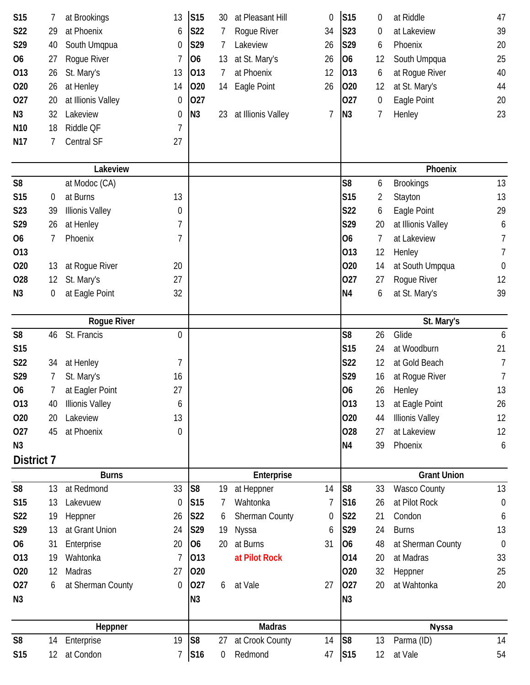| <b>S15</b>      | 7                | at Brookings            | 13               | S15                          | 30 | at Pleasant Hill           | 0  | S <sub>15</sub> | 0  | at Riddle              | 47               |  |
|-----------------|------------------|-------------------------|------------------|------------------------------|----|----------------------------|----|-----------------|----|------------------------|------------------|--|
| S22             | 29               | at Phoenix              | 6                | S22                          |    | Rogue River                | 34 | S23             | 0  | at Lakeview            | 39               |  |
| S29             | 40               | South Umqpua            | 0                | S29                          | 7  | Lakeview                   | 26 | S29             | 6  | Phoenix                | 20               |  |
| 06              | 27               | Rogue River             | 7                | O <sub>6</sub>               | 13 | at St. Mary's              | 26 | 06              | 12 | South Umpqua           | 25               |  |
| 013             | 26               | St. Mary's              | 13               | 013                          | 7  | at Phoenix                 | 12 | 013             | 6  | at Rogue River         | 40               |  |
| 020             | 26               | at Henley               | 14               | 020                          | 14 | Eagle Point                | 26 | 020             | 12 | at St. Mary's          | 44               |  |
| 027             | 20               | at Illionis Valley      | 0                | 027                          |    |                            |    | 027             | 0  | Eagle Point            | 20               |  |
| N <sub>3</sub>  | 32               | Lakeview                | $\boldsymbol{0}$ | N3                           | 23 | at Illionis Valley         | 7  | N <sub>3</sub>  | 7  | Henley                 | 23               |  |
| N <sub>10</sub> | 18               | Riddle QF               | 7                |                              |    |                            |    |                 |    |                        |                  |  |
| N <sub>17</sub> | 7                | Central SF              | 27               |                              |    |                            |    |                 |    |                        |                  |  |
|                 |                  | Lakeview                |                  |                              |    |                            |    |                 |    | Phoenix                |                  |  |
| S <sub>8</sub>  |                  | at Modoc (CA)           |                  |                              |    |                            |    | S <sub>8</sub>  | 6  | <b>Brookings</b>       | 13               |  |
| S15             | $\boldsymbol{0}$ | at Burns                | 13               |                              |    |                            |    | S <sub>15</sub> | 2  | Stayton                | 13               |  |
| S23             | 39               | <b>Illionis Valley</b>  | 0                |                              |    |                            |    | <b>S22</b>      | 6  | Eagle Point            | 29               |  |
| S29             | 26               | at Henley               | 7                |                              |    |                            |    | S29             | 20 | at Illionis Valley     | 6                |  |
| <b>O6</b>       | $\overline{7}$   | Phoenix                 | 7                |                              |    |                            |    | O <sub>6</sub>  | 7  | at Lakeview            | 7                |  |
| 013             |                  |                         |                  |                              |    |                            |    | 013             | 12 | Henley                 | 7                |  |
| 020             | 13               | at Rogue River          | 20               |                              |    |                            |    | 020             | 14 | at South Umpqua        | $\boldsymbol{0}$ |  |
| 028             | 12               | St. Mary's              | 27               |                              |    |                            |    | 027             | 27 | Rogue River            | 12               |  |
| N <sub>3</sub>  | 0                | at Eagle Point          | 32               |                              |    |                            |    | N <sub>4</sub>  | 6  | at St. Mary's          | 39               |  |
|                 |                  | Rogue River             |                  |                              |    |                            |    |                 |    | St. Mary's             |                  |  |
| S <sub>8</sub>  | 46               | St. Francis             | 0                |                              |    |                            |    | S <sub>8</sub>  | 26 | Glide                  | 6                |  |
| S15             |                  |                         |                  |                              |    |                            |    | S <sub>15</sub> | 24 | at Woodburn            | 21               |  |
| S22             | 34               | at Henley               | 7                |                              |    |                            |    | S22             | 12 | at Gold Beach          | 7                |  |
| S29             | 7                | St. Mary's              | 16               |                              |    |                            |    | S29             | 16 | at Rogue River         | 7                |  |
| 06              | 7                | at Eagler Point         | 27               |                              |    |                            |    | <b>O6</b>       | 26 | Henley                 | 13               |  |
| 013             | 40               | <b>Illionis Valley</b>  | 6                |                              |    |                            |    | 013             | 13 | at Eagle Point         | 26               |  |
| 020             | 20               | Lakeview                | 13               |                              |    |                            |    | 020             | 44 | <b>Illionis Valley</b> | 12               |  |
| 027             | 45               | at Phoenix              | 0                |                              |    |                            |    | 028             | 27 | at Lakeview            | 12               |  |
| N <sub>3</sub>  |                  |                         |                  |                              |    |                            |    | N <sub>4</sub>  | 39 | Phoenix                | 6                |  |
| District 7      |                  |                         |                  |                              |    |                            |    |                 |    |                        |                  |  |
|                 |                  | <b>Burns</b>            |                  |                              |    | Enterprise                 |    |                 |    | <b>Grant Union</b>     |                  |  |
| S <sub>8</sub>  | 13               | at Redmond              | 33               | S <sub>8</sub>               | 19 | at Heppner                 | 14 | S <sub>8</sub>  | 33 | <b>Wasco County</b>    | 13               |  |
| <b>S15</b>      | 13               | Lakevuew                | 0                | S <sub>15</sub>              |    | Wahtonka                   | 7  | S <sub>16</sub> | 26 | at Pilot Rock          | $\mathbf 0$      |  |
| S22             | 19               | Heppner                 | 26               | S22                          | 6  | <b>Sherman County</b>      | 0  | S22             | 21 | Condon                 | 6                |  |
| S29             | 13               | at Grant Union          | 24               | S29                          | 19 | Nyssa                      | 6  | S29             | 24 | <b>Burns</b>           | 13               |  |
| 06              | 31               | Enterprise              | 20               | <b>O6</b>                    | 20 | at Burns                   | 31 | 06              | 48 | at Sherman County      | $\mathbf 0$      |  |
| 013             | 19               | Wahtonka                | 7                | 013                          |    | at Pilot Rock              |    | 014             | 20 | at Madras              | 33               |  |
| 020             | 12               | Madras                  | 27               | 020                          |    |                            |    | 020             | 32 | Heppner                | 25               |  |
| 027             | 6                | at Sherman County       | 0                | 027                          | 6  | at Vale                    | 27 | 027             | 20 | at Wahtonka            | 20               |  |
| N <sub>3</sub>  |                  |                         |                  | N3                           |    |                            |    | N <sub>3</sub>  |    |                        |                  |  |
| Heppner         |                  |                         |                  |                              |    | <b>Madras</b>              |    | <b>Nyssa</b>    |    |                        |                  |  |
|                 |                  |                         |                  |                              |    |                            |    |                 |    |                        |                  |  |
| S <sub>8</sub>  | 14               | Enterprise<br>at Condon | 19               | S <sub>8</sub><br><b>S16</b> | 27 | at Crook County<br>Redmond | 14 | S8              | 13 | Parma (ID)<br>at Vale  | 14<br>54         |  |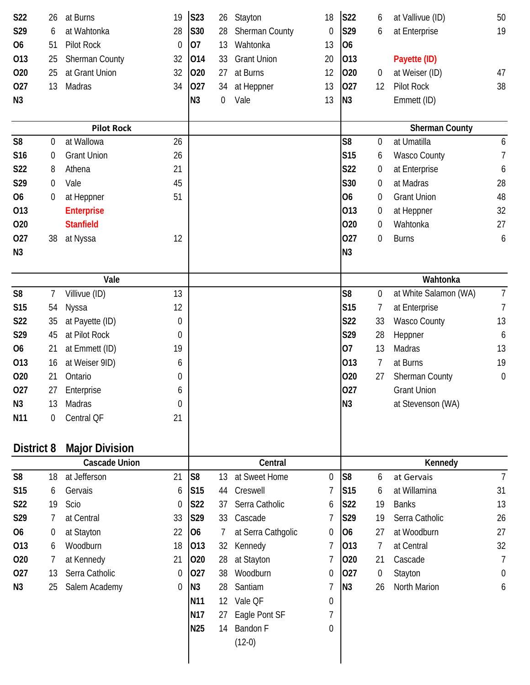| S22             | 26             | at Burns              | 19               | <b>S23</b>      | 26 | Stayton            | 18 | <b>S22</b>      | 6                | at Vallivue (ID)      | 50             |
|-----------------|----------------|-----------------------|------------------|-----------------|----|--------------------|----|-----------------|------------------|-----------------------|----------------|
| S29             | 6              | at Wahtonka           | 28               | S30             | 28 | Sherman County     | 0  | S29             | 6                | at Enterprise         | 19             |
| 06              | 51             | Pilot Rock            | 0                | 07              | 13 | Wahtonka           | 13 | <b>O6</b>       |                  |                       |                |
| 013             | 25             | Sherman County        | 32               | 014             | 33 | <b>Grant Union</b> | 20 | 013             |                  | Payette (ID)          |                |
| 020             | 25             | at Grant Union        | 32               | 020             | 27 | at Burns           | 12 | 020             | $\overline{0}$   | at Weiser (ID)        | 47             |
| 027             | 13             | Madras                | 34               | 027             | 34 | at Heppner         | 13 | 027             | 12               | <b>Pilot Rock</b>     | 38             |
| N <sub>3</sub>  |                |                       |                  | N <sub>3</sub>  | 0  | Vale               | 13 | N <sub>3</sub>  |                  | Emmett (ID)           |                |
|                 |                | <b>Pilot Rock</b>     |                  |                 |    |                    |    |                 |                  | <b>Sherman County</b> |                |
| S <sub>8</sub>  | 0              | at Wallowa            | 26               |                 |    |                    |    | S <sub>8</sub>  | $\boldsymbol{0}$ | at Umatilla           | 6              |
| S16             | 0              | <b>Grant Union</b>    | 26               |                 |    |                    |    | S15             | 6                | <b>Wasco County</b>   | $\overline{7}$ |
| S22             | 8              | Athena                | 21               |                 |    |                    |    | S22             | 0                | at Enterprise         | 6              |
| S29             | 0              | Vale                  | 45               |                 |    |                    |    | S30             | 0                | at Madras             | 28             |
| <b>O6</b>       | 0              | at Heppner            | 51               |                 |    |                    |    | <b>O6</b>       | $\boldsymbol{0}$ | <b>Grant Union</b>    | 48             |
| 013             |                | <b>Enterprise</b>     |                  |                 |    |                    |    | 013             | $\boldsymbol{0}$ | at Heppner            | 32             |
| 020             |                | <b>Stanfield</b>      |                  |                 |    |                    |    | 020             | 0                | Wahtonka              | 27             |
| 027             | 38             | at Nyssa              | 12               |                 |    |                    |    | 027             | 0                | <b>Burns</b>          | 6              |
| N <sub>3</sub>  |                |                       |                  |                 |    |                    |    | N <sub>3</sub>  |                  |                       |                |
|                 |                | Vale                  |                  |                 |    |                    |    |                 |                  | Wahtonka              |                |
| S <sub>8</sub>  | $\overline{7}$ | Villivue (ID)         | 13               |                 |    |                    |    | S <sub>8</sub>  | 0                | at White Salamon (WA) | $\overline{7}$ |
| S15             | 54             | Nyssa                 | 12               |                 |    |                    |    | S <sub>15</sub> | 7                | at Enterprise         | $\overline{7}$ |
| S22             | 35             | at Payette (ID)       | 0                |                 |    |                    |    | S22             | 33               | <b>Wasco County</b>   | 13             |
| S29             | 45             | at Pilot Rock         | 0                |                 |    |                    |    | S29             | 28               | Heppner               | 6              |
| 06              | 21             | at Emmett (ID)        | 19               |                 |    |                    |    | 07              | 13               | Madras                | 13             |
| 013             | 16             | at Weiser 9ID)        | 6                |                 |    |                    |    | 013             | 7                | at Burns              | 19             |
| 020             | 21             | Ontario               | 0                |                 |    |                    |    | 020             | 27               | Sherman County        | $\theta$       |
| 027             | 27             | Enterprise            | 6                |                 |    |                    |    | 027             |                  | <b>Grant Union</b>    |                |
| N <sub>3</sub>  | 13             | Madras                | 0                |                 |    |                    |    | N <sub>3</sub>  |                  | at Stevenson (WA)     |                |
| N <sub>11</sub> | 0              | Central QF            | 21               |                 |    |                    |    |                 |                  |                       |                |
| District 8      |                | <b>Major Division</b> |                  |                 |    |                    |    |                 |                  |                       |                |
|                 |                | <b>Cascade Union</b>  |                  |                 |    | Central            |    |                 |                  | Kennedy               |                |
| S <sub>8</sub>  | 18             | at Jefferson          | 21               | S <sub>8</sub>  | 13 | at Sweet Home      | 0  | S <sub>8</sub>  | 6                | at Gervais            | $\overline{7}$ |
| S15             | 6              | Gervais               | 6                | S <sub>15</sub> | 44 | Creswell           | 7  | <b>S15</b>      | 6                | at Willamina          | 31             |
| S22             | 19             | Scio                  | 0                | <b>S22</b>      | 37 | Serra Catholic     | 6  | <b>S22</b>      | 19               | <b>Banks</b>          | 13             |
| S29             | 7              | at Central            | 33               | S29             | 33 | Cascade            | 7  | S29             | 19               | Serra Catholic        | 26             |
| 06              | 0              | at Stayton            | 22               | <b>O6</b>       | 7  | at Serra Cathgolic | 0  | <b>O6</b>       | 27               | at Woodburn           | 27             |
| 013             | 6              | Woodburn              | 18               | 013             | 32 | Kennedy            | 7  | 013             | 7                | at Central            | 32             |
| 020             | 7              | at Kennedy            | 21               | 020             | 28 | at Stayton         | 7  | 020             | 21               | Cascade               | 7              |
| 027             | 13             | Serra Catholic        | $\boldsymbol{0}$ | 027             | 38 | Woodburn           | 0  | 027             | $\boldsymbol{0}$ | Stayton               | 0              |
| N <sub>3</sub>  | 25             | Salem Academy         | 0                | N3              | 28 | Santiam            | 7  | N <sub>3</sub>  | 26               | North Marion          | 6              |
|                 |                |                       |                  | N11             | 12 | Vale QF            | 0  |                 |                  |                       |                |
|                 |                |                       |                  | N17             | 27 | Eagle Pont SF      | 7  |                 |                  |                       |                |
|                 |                |                       |                  | N25             | 14 | Bandon F           | 0  |                 |                  |                       |                |
|                 |                |                       |                  |                 |    | $(12-0)$           |    |                 |                  |                       |                |
|                 |                |                       |                  |                 |    |                    |    |                 |                  |                       |                |